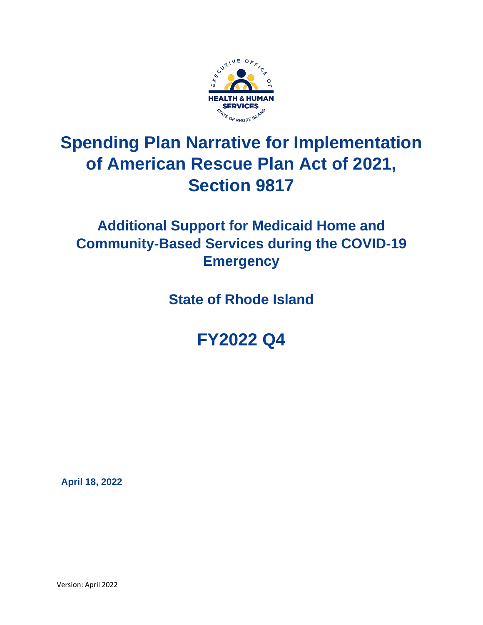

# **Spending Plan Narrative for Implementation of American Rescue Plan Act of 2021, Section 9817**

# **Additional Support for Medicaid Home and Community-Based Services during the COVID-19 Emergency**

**State of Rhode Island**

**FY2022 Q4**

 **April 18, 2022**

Version: April 2022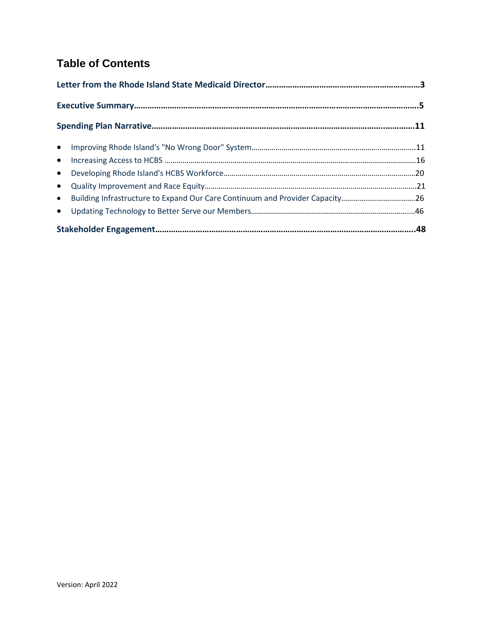# **Table of Contents**

| • Building Infrastructure to Expand Our Care Continuum and Provider Capacity26 |  |
|--------------------------------------------------------------------------------|--|
|                                                                                |  |
|                                                                                |  |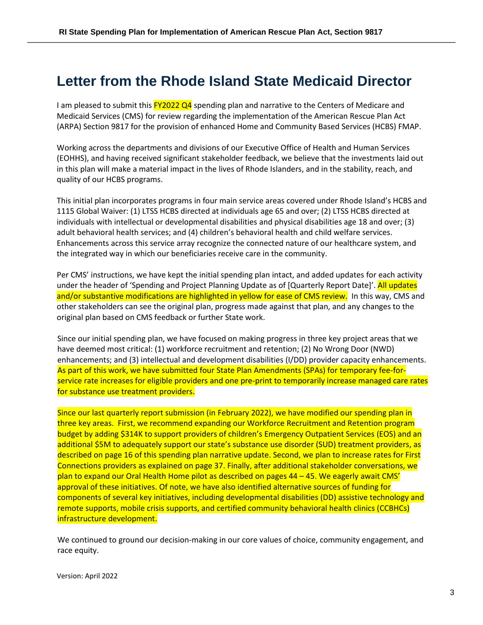# <span id="page-2-0"></span>**Letter from the Rhode Island State Medicaid Director**

I am pleased to submit this  $FY2022$  Q4 spending plan and narrative to the Centers of Medicare and Medicaid Services (CMS) for review regarding the implementation of the American Rescue Plan Act (ARPA) Section 9817 for the provision of enhanced Home and Community Based Services (HCBS) FMAP.

Working across the departments and divisions of our Executive Office of Health and Human Services (EOHHS), and having received significant stakeholder feedback, we believe that the investments laid out in this plan will make a material impact in the lives of Rhode Islanders, and in the stability, reach, and quality of our HCBS programs.

This initial plan incorporates programs in four main service areas covered under Rhode Island's HCBS and 1115 Global Waiver: (1) LTSS HCBS directed at individuals age 65 and over; (2) LTSS HCBS directed at individuals with intellectual or developmental disabilities and physical disabilities age 18 and over; (3) adult behavioral health services; and (4) children's behavioral health and child welfare services. Enhancements across this service array recognize the connected nature of our healthcare system, and the integrated way in which our beneficiaries receive care in the community.

Per CMS' instructions, we have kept the initial spending plan intact, and added updates for each activity under the header of 'Spending and Project Planning Update as of [Quarterly Report Date]'. All updates and/or substantive modifications are highlighted in yellow for ease of CMS review. In this way, CMS and other stakeholders can see the original plan, progress made against that plan, and any changes to the original plan based on CMS feedback or further State work.

Since our initial spending plan, we have focused on making progress in three key project areas that we have deemed most critical: (1) workforce recruitment and retention; (2) No Wrong Door (NWD) enhancements; and (3) intellectual and development disabilities (I/DD) provider capacity enhancements. As part of this work, we have submitted four State Plan Amendments (SPAs) for temporary fee-forservice rate increases for eligible providers and one pre-print to temporarily increase managed care rates for substance use treatment providers.

Since our last quarterly report submission (in February 2022), we have modified our spending plan in three key areas. First, we recommend expanding our Workforce Recruitment and Retention program budget by adding \$314K to support providers of children's Emergency Outpatient Services (EOS) and an additional \$5M to adequately support our state's substance use disorder (SUD) treatment providers, as described on page 16 of this spending plan narrative update. Second, we plan to increase rates for First Connections providers as explained on page 37. Finally, after additional stakeholder conversations, we plan to expand our Oral Health Home pilot as described on pages 44 – 45. We eagerly await CMS' approval of these initiatives. Of note, we have also identified alternative sources of funding for components of several key initiatives, including developmental disabilities (DD) assistive technology and remote supports, mobile crisis supports, and certified community behavioral health clinics (CCBHCs) infrastructure development.

We continued to ground our decision-making in our core values of choice, community engagement, and race equity.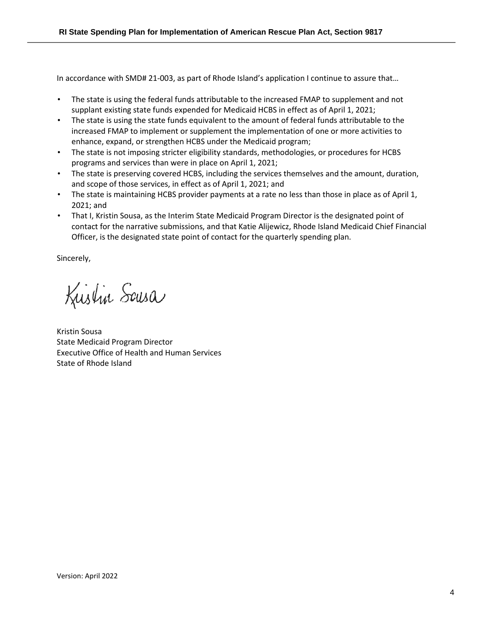In accordance with SMD# 21-003, as part of Rhode Island's application I continue to assure that…

- The state is using the federal funds attributable to the increased FMAP to supplement and not supplant existing state funds expended for Medicaid HCBS in effect as of April 1, 2021;
- The state is using the state funds equivalent to the amount of federal funds attributable to the increased FMAP to implement or supplement the implementation of one or more activities to enhance, expand, or strengthen HCBS under the Medicaid program;
- The state is not imposing stricter eligibility standards, methodologies, or procedures for HCBS programs and services than were in place on April 1, 2021;
- The state is preserving covered HCBS, including the services themselves and the amount, duration, and scope of those services, in effect as of April 1, 2021; and
- The state is maintaining HCBS provider payments at a rate no less than those in place as of April 1, 2021; and
- That I, Kristin Sousa, as the Interim State Medicaid Program Director is the designated point of contact for the narrative submissions, and that Katie Alijewicz, Rhode Island Medicaid Chief Financial Officer, is the designated state point of contact for the quarterly spending plan.

Sincerely,

Kustin Sousa

Kristin Sousa State Medicaid Program Director Executive Office of Health and Human Services State of Rhode Island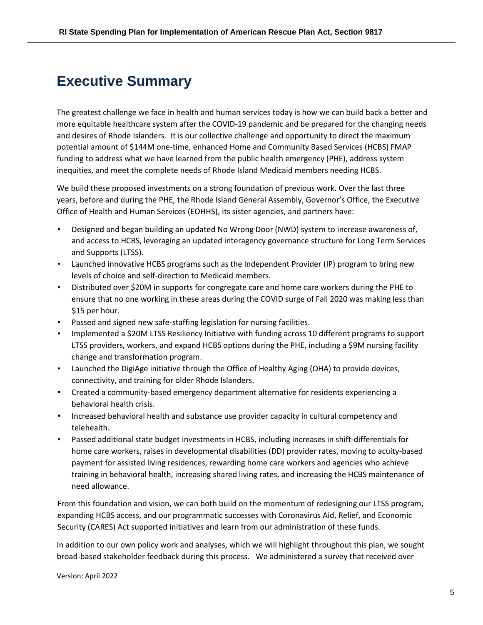# <span id="page-4-0"></span>**Executive Summary**

The greatest challenge we face in health and human services today is how we can build back a better and more equitable healthcare system after the COVID-19 pandemic and be prepared for the changing needs and desires of Rhode Islanders. It is our collective challenge and opportunity to direct the maximum potential amount of \$144M one-time, enhanced Home and Community Based Services (HCBS) FMAP funding to address what we have learned from the public health emergency (PHE), address system inequities, and meet the complete needs of Rhode Island Medicaid members needing HCBS.

We build these proposed investments on a strong foundation of previous work. Over the last three years, before and during the PHE, the Rhode Island General Assembly, Governor's Office, the Executive Office of Health and Human Services (EOHHS), its sister agencies, and partners have:

- Designed and began building an updated No Wrong Door (NWD) system to increase awareness of, and access to HCBS, leveraging an updated interagency governance structure for Long Term Services and Supports (LTSS).
- Launched innovative HCBS programs such as the Independent Provider (IP) program to bring new levels of choice and self-direction to Medicaid members.
- Distributed over \$20M in supports for congregate care and home care workers during the PHE to ensure that no one working in these areas during the COVID surge of Fall 2020 was making less than \$15 per hour.
- Passed and signed new safe-staffing legislation for nursing facilities.
- Implemented a \$20M LTSS Resiliency Initiative with funding across 10 different programs to support LTSS providers, workers, and expand HCBS options during the PHE, including a \$9M nursing facility change and transformation program.
- Launched the DigiAge initiative through the Office of Healthy Aging (OHA) to provide devices, connectivity, and training for older Rhode Islanders.
- Created a community-based emergency department alternative for residents experiencing a behavioral health crisis.
- Increased behavioral health and substance use provider capacity in cultural competency and telehealth.
- Passed additional state budget investments in HCBS, including increases in shift-differentials for home care workers, raises in developmental disabilities (DD) provider rates, moving to acuity-based payment for assisted living residences, rewarding home care workers and agencies who achieve training in behavioral health, increasing shared living rates, and increasing the HCBS maintenance of need allowance.

From this foundation and vision, we can both build on the momentum of redesigning our LTSS program, expanding HCBS access, and our programmatic successes with Coronavirus Aid, Relief, and Economic Security (CARES) Act supported initiatives and learn from our administration of these funds.

In addition to our own policy work and analyses, which we will highlight throughout this plan, we sought broad-based stakeholder feedback during this process. We administered a survey that received over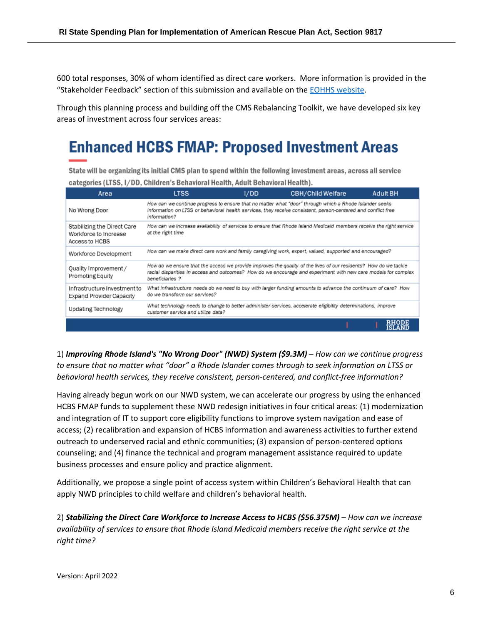600 total responses, 30% of whom identified as direct care workers. More information is provided in the "Stakeholder Feedback" section of this submission and available on the [EOHHS website.](https://eohhs.ri.gov/initiatives/american-rescue-plan-act/home-and-community-based-services-hcbs-enhancement)

Through this planning process and building off the CMS Rebalancing Toolkit, we have developed six key areas of investment across four services areas:

# **Enhanced HCBS FMAP: Proposed Investment Areas**

State will be organizing its initial CMS plan to spend within the following investment areas, across all service categories (LTSS, I/DD, Children's Behavioral Health, Adult Behavioral Health).

| Area                                                                   | <b>LTSS</b>                                                                                                                                                                                                                                          | I/DD | <b>CBH/Child Welfare</b>                                                                               | <b>Adult BH</b>        |  |
|------------------------------------------------------------------------|------------------------------------------------------------------------------------------------------------------------------------------------------------------------------------------------------------------------------------------------------|------|--------------------------------------------------------------------------------------------------------|------------------------|--|
| No Wrong Door                                                          | How can we continue progress to ensure that no matter what "door" through which a Rhode Islander seeks<br>information on LTSS or behavioral health services, they receive consistent, person-centered and conflict free<br>information?              |      |                                                                                                        |                        |  |
| Stabilizing the Direct Care<br>Workforce to Increase<br>Access to HCBS | How can we increase availability of services to ensure that Rhode Island Medicaid members receive the right service<br>at the right time                                                                                                             |      |                                                                                                        |                        |  |
| Workforce Development                                                  |                                                                                                                                                                                                                                                      |      | How can we make direct care work and family caregiving work, expert, valued, supported and encouraged? |                        |  |
| Quality Improvement /<br>Promoting Equity                              | How do we ensure that the access we provide improves the quality of the lives of our residents? How do we tackle<br>racial disparities in access and outcomes? How do we encourage and experiment with new care models for complex<br>beneficiaries? |      |                                                                                                        |                        |  |
| Infrastructure Investment to<br><b>Expand Provider Capacity</b>        | What infrastructure needs do we need to buy with larger funding amounts to advance the continuum of care? How<br>do we transform our services?                                                                                                       |      |                                                                                                        |                        |  |
| Updating Technology                                                    | What technology needs to change to better administer services, accelerate eligibility determinations, improve<br>customer service and utilize data?                                                                                                  |      |                                                                                                        |                        |  |
|                                                                        |                                                                                                                                                                                                                                                      |      |                                                                                                        | <b>RHODE</b><br>ISLAND |  |

1) *Improving Rhode Island's "No Wrong Door" (NWD) System (\$9.3M)* – *How can we continue progress to ensure that no matter what "door" a Rhode Islander comes through to seek information on LTSS or behavioral health services, they receive consistent, person-centered, and conflict-free information?*

Having already begun work on our NWD system, we can accelerate our progress by using the enhanced HCBS FMAP funds to supplement these NWD redesign initiatives in four critical areas: (1) modernization and integration of IT to support core eligibility functions to improve system navigation and ease of access; (2) recalibration and expansion of HCBS information and awareness activities to further extend outreach to underserved racial and ethnic communities; (3) expansion of person-centered options counseling; and (4) finance the technical and program management assistance required to update business processes and ensure policy and practice alignment.

Additionally, we propose a single point of access system within Children's Behavioral Health that can apply NWD principles to child welfare and children's behavioral health.

2) *Stabilizing the Direct Care Workforce to Increase Access to HCBS (\$56.375M)* – *How can we increase availability of services to ensure that Rhode Island Medicaid members receive the right service at the right time?*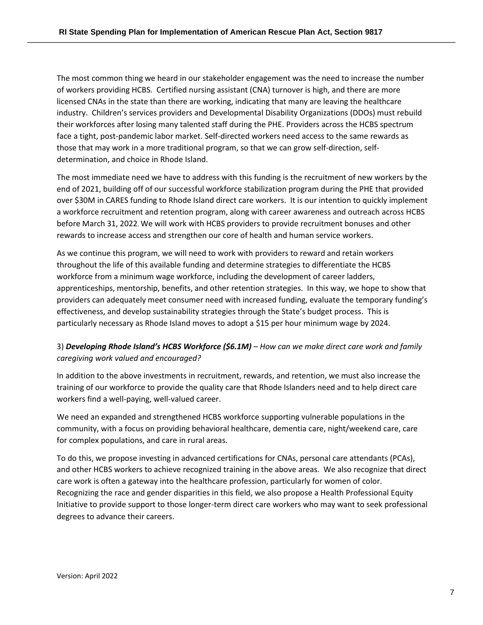The most common thing we heard in our stakeholder engagement was the need to increase the number of workers providing HCBS. Certified nursing assistant (CNA) turnover is high, and there are more licensed CNAs in the state than there are working, indicating that many are leaving the healthcare industry. Children's services providers and Developmental Disability Organizations (DDOs) must rebuild their workforces after losing many talented staff during the PHE. Providers across the HCBS spectrum face a tight, post-pandemic labor market. Self-directed workers need access to the same rewards as those that may work in a more traditional program, so that we can grow self-direction, selfdetermination, and choice in Rhode Island.

The most immediate need we have to address with this funding is the recruitment of new workers by the end of 2021, building off of our successful workforce stabilization program during the PHE that provided over \$30M in CARES funding to Rhode Island direct care workers. It is our intention to quickly implement a workforce recruitment and retention program, along with career awareness and outreach across HCBS before March 31, 2022. We will work with HCBS providers to provide recruitment bonuses and other rewards to increase access and strengthen our core of health and human service workers.

As we continue this program, we will need to work with providers to reward and retain workers throughout the life of this available funding and determine strategies to differentiate the HCBS workforce from a minimum wage workforce, including the development of career ladders, apprenticeships, mentorship, benefits, and other retention strategies. In this way, we hope to show that providers can adequately meet consumer need with increased funding, evaluate the temporary funding's effectiveness, and develop sustainability strategies through the State's budget process. This is particularly necessary as Rhode Island moves to adopt a \$15 per hour minimum wage by 2024.

### 3) *Developing Rhode Island's HCBS Workforce (\$6.1M) – How can we make direct care work and family caregiving work valued and encouraged?*

In addition to the above investments in recruitment, rewards, and retention, we must also increase the training of our workforce to provide the quality care that Rhode Islanders need and to help direct care workers find a well-paying, well-valued career.

We need an expanded and strengthened HCBS workforce supporting vulnerable populations in the community, with a focus on providing behavioral healthcare, dementia care, night/weekend care, care for complex populations, and care in rural areas.

To do this, we propose investing in advanced certifications for CNAs, personal care attendants (PCAs), and other HCBS workers to achieve recognized training in the above areas. We also recognize that direct care work is often a gateway into the healthcare profession, particularly for women of color. Recognizing the race and gender disparities in this field, we also propose a Health Professional Equity Initiative to provide support to those longer-term direct care workers who may want to seek professional degrees to advance their careers.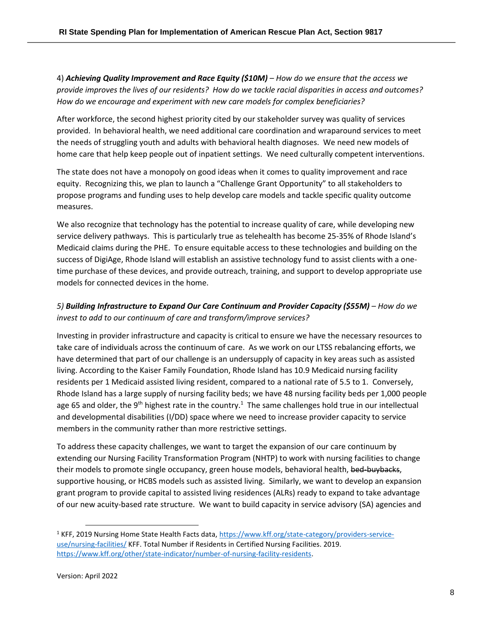4) *Achieving Quality Improvement and Race Equity (\$10M) – How do we ensure that the access we provide improves the lives of our residents? How do we tackle racial disparities in access and outcomes? How do we encourage and experiment with new care models for complex beneficiaries?*

After workforce, the second highest priority cited by our stakeholder survey was quality of services provided. In behavioral health, we need additional care coordination and wraparound services to meet the needs of struggling youth and adults with behavioral health diagnoses. We need new models of home care that help keep people out of inpatient settings. We need culturally competent interventions.

The state does not have a monopoly on good ideas when it comes to quality improvement and race equity. Recognizing this, we plan to launch a "Challenge Grant Opportunity" to all stakeholders to propose programs and funding uses to help develop care models and tackle specific quality outcome measures.

We also recognize that technology has the potential to increase quality of care, while developing new service delivery pathways. This is particularly true as telehealth has become 25-35% of Rhode Island's Medicaid claims during the PHE. To ensure equitable access to these technologies and building on the success of DigiAge, Rhode Island will establish an assistive technology fund to assist clients with a onetime purchase of these devices, and provide outreach, training, and support to develop appropriate use models for connected devices in the home.

# *5) Building Infrastructure to Expand Our Care Continuum and Provider Capacity (\$55M) – How do we invest to add to our continuum of care and transform/improve services?*

Investing in provider infrastructure and capacity is critical to ensure we have the necessary resources to take care of individuals across the continuum of care. As we work on our LTSS rebalancing efforts, we have determined that part of our challenge is an undersupply of capacity in key areas such as assisted living. According to the Kaiser Family Foundation, Rhode Island has 10.9 Medicaid nursing facility residents per 1 Medicaid assisted living resident, compared to a national rate of 5.5 to 1. Conversely, Rhode Island has a large supply of nursing facility beds; we have 48 nursing facility beds per 1,000 people age 65 and older, the 9<sup>th</sup> highest rate in the country.<sup>1</sup> The same challenges hold true in our intellectual and developmental disabilities (I/DD) space where we need to increase provider capacity to service members in the community rather than more restrictive settings.

To address these capacity challenges, we want to target the expansion of our care continuum by extending our Nursing Facility Transformation Program (NHTP) to work with nursing facilities to change their models to promote single occupancy, green house models, behavioral health, bed-buybacks, supportive housing, or HCBS models such as assisted living. Similarly, we want to develop an expansion grant program to provide capital to assisted living residences (ALRs) ready to expand to take advantage of our new acuity-based rate structure. We want to build capacity in service advisory (SA) agencies and

<sup>1</sup> KFF, 2019 Nursing Home State Health Facts data, [https://www.kff.org/state-category/providers-service](https://www.kff.org/state-category/providers-service-use/nursing-facilities/)[use/nursing-facilities/](https://www.kff.org/state-category/providers-service-use/nursing-facilities/) KFF. Total Number if Residents in Certified Nursing Facilities. 2019. [https://www.kff.org/other/state-indicator/number-of-nursing-facility-residents.](https://www.kff.org/other/state-indicator/number-of-nursing-facility-residents/?currentTimeframe=0&sortModel=%7B%22colId%22:%22Location%22,%22sort%22:%22asc%22%7D)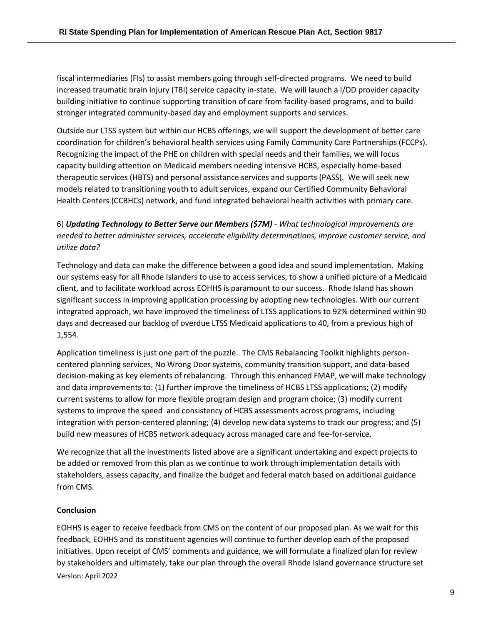fiscal intermediaries (FIs) to assist members going through self-directed programs. We need to build increased traumatic brain injury (TBI) service capacity in-state. We will launch a I/DD provider capacity building initiative to continue supporting transition of care from facility-based programs, and to build stronger integrated community-based day and employment supports and services.

Outside our LTSS system but within our HCBS offerings, we will support the development of better care coordination for children's behavioral health services using Family Community Care Partnerships (FCCPs). Recognizing the impact of the PHE on children with special needs and their families, we will focus capacity building attention on Medicaid members needing intensive HCBS, especially home-based therapeutic services (HBTS) and personal assistance services and supports (PASS). We will seek new models related to transitioning youth to adult services, expand our Certified Community Behavioral Health Centers (CCBHCs) network, and fund integrated behavioral health activities with primary care.

6) *Updating Technology to Better Serve our Members (\$7M) - What technological improvements are needed to better administer services, accelerate eligibility determinations, improve customer service, and utilize data?*

Technology and data can make the difference between a good idea and sound implementation. Making our systems easy for all Rhode Islanders to use to access services, to show a unified picture of a Medicaid client, and to facilitate workload across EOHHS is paramount to our success. Rhode Island has shown significant success in improving application processing by adopting new technologies. With our current integrated approach, we have improved the timeliness of LTSS applications to 92% determined within 90 days and decreased our backlog of overdue LTSS Medicaid applications to 40, from a previous high of 1,554.

Application timeliness is just one part of the puzzle. The CMS Rebalancing Toolkit highlights personcentered planning services, No Wrong Door systems, community transition support, and data-based decision-making as key elements of rebalancing. Through this enhanced FMAP, we will make technology and data improvements to: (1) further improve the timeliness of HCBS LTSS applications; (2) modify current systems to allow for more flexible program design and program choice; (3) modify current systems to improve the speed and consistency of HCBS assessments across programs, including integration with person-centered planning; (4) develop new data systems to track our progress; and (5) build new measures of HCBS network adequacy across managed care and fee-for-service.

We recognize that all the investments listed above are a significant undertaking and expect projects to be added or removed from this plan as we continue to work through implementation details with stakeholders, assess capacity, and finalize the budget and federal match based on additional guidance from CMS.

### **Conclusion**

Version: April 2022 EOHHS is eager to receive feedback from CMS on the content of our proposed plan. As we wait for this feedback, EOHHS and its constituent agencies will continue to further develop each of the proposed initiatives. Upon receipt of CMS' comments and guidance, we will formulate a finalized plan for review by stakeholders and ultimately, take our plan through the overall Rhode Island governance structure set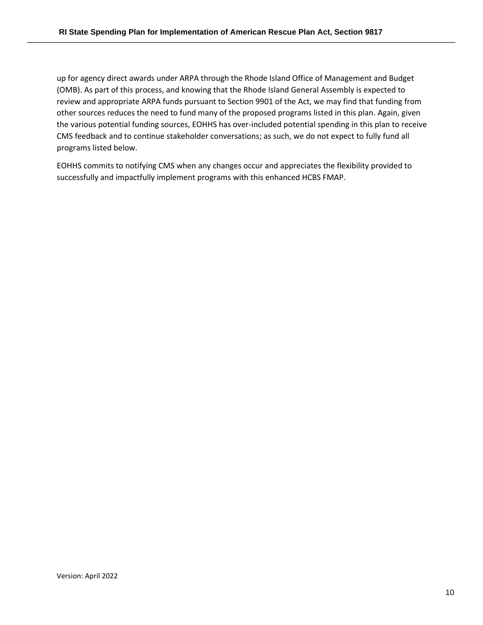up for agency direct awards under ARPA through the Rhode Island Office of Management and Budget (OMB). As part of this process, and knowing that the Rhode Island General Assembly is expected to review and appropriate ARPA funds pursuant to Section 9901 of the Act, we may find that funding from other sources reduces the need to fund many of the proposed programs listed in this plan. Again, given the various potential funding sources, EOHHS has over-included potential spending in this plan to receive CMS feedback and to continue stakeholder conversations; as such, we do not expect to fully fund all programs listed below.

EOHHS commits to notifying CMS when any changes occur and appreciates the flexibility provided to successfully and impactfully implement programs with this enhanced HCBS FMAP.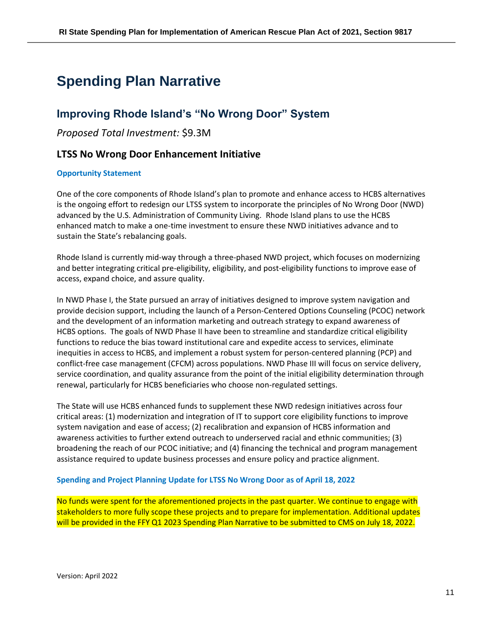# <span id="page-10-0"></span>**Spending Plan Narrative**

# <span id="page-10-1"></span>**Improving Rhode Island's "No Wrong Door" System**

*Proposed Total Investment:* \$9.3M

# **LTSS No Wrong Door Enhancement Initiative**

#### **Opportunity Statement**

One of the core components of Rhode Island's plan to promote and enhance access to HCBS alternatives is the ongoing effort to redesign our LTSS system to incorporate the principles of No Wrong Door (NWD) advanced by the U.S. Administration of Community Living. Rhode Island plans to use the HCBS enhanced match to make a one-time investment to ensure these NWD initiatives advance and to sustain the State's rebalancing goals.

Rhode Island is currently mid-way through a three-phased NWD project, which focuses on modernizing and better integrating critical pre-eligibility, eligibility, and post-eligibility functions to improve ease of access, expand choice, and assure quality.

In NWD Phase I, the State pursued an array of initiatives designed to improve system navigation and provide decision support, including the launch of a Person-Centered Options Counseling (PCOC) network and the development of an information marketing and outreach strategy to expand awareness of HCBS options. The goals of NWD Phase II have been to streamline and standardize critical eligibility functions to reduce the bias toward institutional care and expedite access to services, eliminate inequities in access to HCBS, and implement a robust system for person-centered planning (PCP) and conflict-free case management (CFCM) across populations. NWD Phase III will focus on service delivery, service coordination, and quality assurance from the point of the initial eligibility determination through renewal, particularly for HCBS beneficiaries who choose non-regulated settings.

The State will use HCBS enhanced funds to supplement these NWD redesign initiatives across four critical areas: (1) modernization and integration of IT to support core eligibility functions to improve system navigation and ease of access; (2) recalibration and expansion of HCBS information and awareness activities to further extend outreach to underserved racial and ethnic communities; (3) broadening the reach of our PCOC initiative; and (4) financing the technical and program management assistance required to update business processes and ensure policy and practice alignment.

#### **Spending and Project Planning Update for LTSS No Wrong Door as of April 18, 2022**

No funds were spent for the aforementioned projects in the past quarter. We continue to engage with stakeholders to more fully scope these projects and to prepare for implementation. Additional updates will be provided in the FFY Q1 2023 Spending Plan Narrative to be submitted to CMS on July 18, 2022.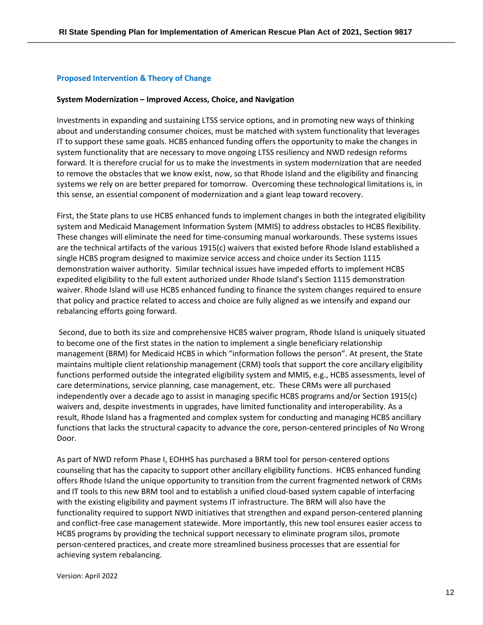#### **Proposed Intervention & Theory of Change**

#### **System Modernization – Improved Access, Choice, and Navigation**

Investments in expanding and sustaining LTSS service options, and in promoting new ways of thinking about and understanding consumer choices, must be matched with system functionality that leverages IT to support these same goals. HCBS enhanced funding offers the opportunity to make the changes in system functionality that are necessary to move ongoing LTSS resiliency and NWD redesign reforms forward. It is therefore crucial for us to make the investments in system modernization that are needed to remove the obstacles that we know exist, now, so that Rhode Island and the eligibility and financing systems we rely on are better prepared for tomorrow. Overcoming these technological limitations is, in this sense, an essential component of modernization and a giant leap toward recovery.

First, the State plans to use HCBS enhanced funds to implement changes in both the integrated eligibility system and Medicaid Management Information System (MMIS) to address obstacles to HCBS flexibility. These changes will eliminate the need for time-consuming manual workarounds. These systems issues are the technical artifacts of the various 1915(c) waivers that existed before Rhode Island established a single HCBS program designed to maximize service access and choice under its Section 1115 demonstration waiver authority. Similar technical issues have impeded efforts to implement HCBS expedited eligibility to the full extent authorized under Rhode Island's Section 1115 demonstration waiver. Rhode Island will use HCBS enhanced funding to finance the system changes required to ensure that policy and practice related to access and choice are fully aligned as we intensify and expand our rebalancing efforts going forward.

Second, due to both its size and comprehensive HCBS waiver program, Rhode Island is uniquely situated to become one of the first states in the nation to implement a single beneficiary relationship management (BRM) for Medicaid HCBS in which "information follows the person". At present, the State maintains multiple client relationship management (CRM) tools that support the core ancillary eligibility functions performed outside the integrated eligibility system and MMIS, e.g., HCBS assessments, level of care determinations, service planning, case management, etc. These CRMs were all purchased independently over a decade ago to assist in managing specific HCBS programs and/or Section 1915(c) waivers and, despite investments in upgrades, have limited functionality and interoperability. As a result, Rhode Island has a fragmented and complex system for conducting and managing HCBS ancillary functions that lacks the structural capacity to advance the core, person-centered principles of No Wrong Door.

As part of NWD reform Phase I, EOHHS has purchased a BRM tool for person-centered options counseling that has the capacity to support other ancillary eligibility functions. HCBS enhanced funding offers Rhode Island the unique opportunity to transition from the current fragmented network of CRMs and IT tools to this new BRM tool and to establish a unified cloud-based system capable of interfacing with the existing eligibility and payment systems IT infrastructure. The BRM will also have the functionality required to support NWD initiatives that strengthen and expand person-centered planning and conflict-free case management statewide. More importantly, this new tool ensures easier access to HCBS programs by providing the technical support necessary to eliminate program silos, promote person-centered practices, and create more streamlined business processes that are essential for achieving system rebalancing.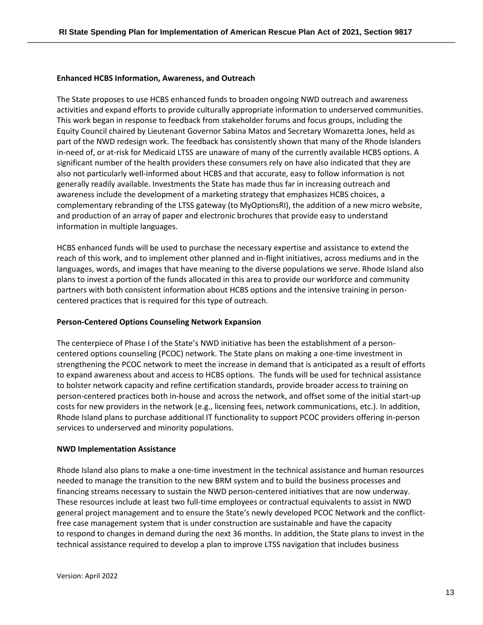#### **Enhanced HCBS Information, Awareness, and Outreach**

The State proposes to use HCBS enhanced funds to broaden ongoing NWD outreach and awareness activities and expand efforts to provide culturally appropriate information to underserved communities. This work began in response to feedback from stakeholder forums and focus groups, including the Equity Council chaired by Lieutenant Governor Sabina Matos and Secretary Womazetta Jones, held as part of the NWD redesign work. The feedback has consistently shown that many of the Rhode Islanders in-need of, or at-risk for Medicaid LTSS are unaware of many of the currently available HCBS options. A significant number of the health providers these consumers rely on have also indicated that they are also not particularly well-informed about HCBS and that accurate, easy to follow information is not generally readily available. Investments the State has made thus far in increasing outreach and awareness include the development of a marketing strategy that emphasizes HCBS choices, a complementary rebranding of the LTSS gateway (to MyOptionsRI), the addition of a new micro website, and production of an array of paper and electronic brochures that provide easy to understand information in multiple languages.

HCBS enhanced funds will be used to purchase the necessary expertise and assistance to extend the reach of this work, and to implement other planned and in-flight initiatives, across mediums and in the languages, words, and images that have meaning to the diverse populations we serve. Rhode Island also plans to invest a portion of the funds allocated in this area to provide our workforce and community partners with both consistent information about HCBS options and the intensive training in personcentered practices that is required for this type of outreach.

#### **Person-Centered Options Counseling Network Expansion**

The centerpiece of Phase I of the State's NWD initiative has been the establishment of a personcentered options counseling (PCOC) network. The State plans on making a one-time investment in strengthening the PCOC network to meet the increase in demand that is anticipated as a result of efforts to expand awareness about and access to HCBS options. The funds will be used for technical assistance to bolster network capacity and refine certification standards, provide broader access to training on person-centered practices both in-house and across the network, and offset some of the initial start-up costs for new providers in the network (e.g., licensing fees, network communications, etc.). In addition, Rhode Island plans to purchase additional IT functionality to support PCOC providers offering in-person services to underserved and minority populations.

#### **NWD Implementation Assistance**

Rhode Island also plans to make a one-time investment in the technical assistance and human resources needed to manage the transition to the new BRM system and to build the business processes and financing streams necessary to sustain the NWD person-centered initiatives that are now underway. These resources include at least two full-time employees or contractual equivalents to assist in NWD general project management and to ensure the State's newly developed PCOC Network and the conflictfree case management system that is under construction are sustainable and have the capacity to respond to changes in demand during the next 36 months. In addition, the State plans to invest in the technical assistance required to develop a plan to improve LTSS navigation that includes business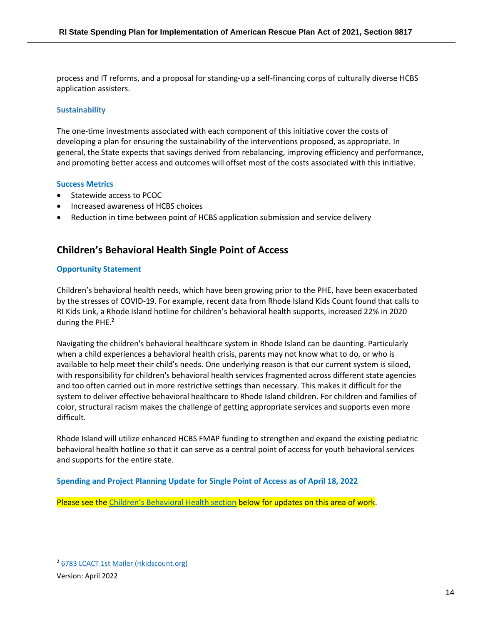process and IT reforms, and a proposal for standing-up a self-financing corps of culturally diverse HCBS application assisters.

#### **Sustainability**

The one-time investments associated with each component of this initiative cover the costs of developing a plan for ensuring the sustainability of the interventions proposed, as appropriate. In general, the State expects that savings derived from rebalancing, improving efficiency and performance, and promoting better access and outcomes will offset most of the costs associated with this initiative.

#### **Success Metrics**

- Statewide access to PCOC
- Increased awareness of HCBS choices
- Reduction in time between point of HCBS application submission and service delivery

# **Children's Behavioral Health Single Point of Access**

#### **Opportunity Statement**

Children's behavioral health needs, which have been growing prior to the PHE, have been exacerbated by the stresses of COVID-19. For example, recent data from Rhode Island Kids Count found that calls to RI Kids Link, a Rhode Island hotline for children's behavioral health supports, increased 22% in 2020 during the PHE.<sup>2</sup>

Navigating the children's behavioral healthcare system in Rhode Island can be daunting. Particularly when a child experiences a behavioral health crisis, parents may not know what to do, or who is available to help meet their child's needs. One underlying reason is that our current system is siloed, with responsibility for children's behavioral health services fragmented across different state agencies and too often carried out in more restrictive settings than necessary. This makes it difficult for the system to deliver effective behavioral healthcare to Rhode Island children. For children and families of color, structural racism makes the challenge of getting appropriate services and supports even more difficult.

Rhode Island will utilize enhanced HCBS FMAP funding to strengthen and expand the existing pediatric behavioral health hotline so that it can serve as a central point of access for youth behavioral services and supports for the entire state.

#### **Spending and Project Planning Update for Single Point of Access as of April 18, 2022**

Please see the [Children's Behavioral Health section](#page-34-0) below for updates on this area of work.

<sup>2</sup> [6783 LCACT 1st Mailer \(rikidscount.org\)](https://www.rikidscount.org/Portals/0/Uploads/Documents/Factbook%202021/Children)

Version: April 2022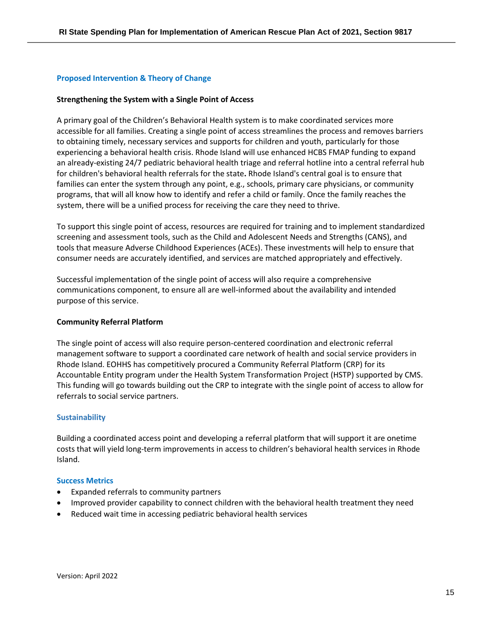#### **Proposed Intervention & Theory of Change**

#### **Strengthening the System with a Single Point of Access**

A primary goal of the Children's Behavioral Health system is to make coordinated services more accessible for all families. Creating a single point of access streamlines the process and removes barriers to obtaining timely, necessary services and supports for children and youth, particularly for those experiencing a behavioral health crisis. Rhode Island will use enhanced HCBS FMAP funding to expand an already-existing 24/7 pediatric behavioral health triage and referral hotline into a central referral hub for children's behavioral health referrals for the state**.** Rhode Island's central goal is to ensure that families can enter the system through any point, e.g., schools, primary care physicians, or community programs, that will all know how to identify and refer a child or family. Once the family reaches the system, there will be a unified process for receiving the care they need to thrive.

To support this single point of access, resources are required for training and to implement standardized screening and assessment tools, such as the Child and Adolescent Needs and Strengths (CANS), and tools that measure Adverse Childhood Experiences (ACEs). These investments will help to ensure that consumer needs are accurately identified, and services are matched appropriately and effectively.

Successful implementation of the single point of access will also require a comprehensive communications component, to ensure all are well-informed about the availability and intended purpose of this service.

#### **Community Referral Platform**

The single point of access will also require person-centered coordination and electronic referral management software to support a coordinated care network of health and social service providers in Rhode Island. EOHHS has competitively procured a Community Referral Platform (CRP) for its Accountable Entity program under the Health System Transformation Project (HSTP) supported by CMS. This funding will go towards building out the CRP to integrate with the single point of access to allow for referrals to social service partners.

#### **Sustainability**

Building a coordinated access point and developing a referral platform that will support it are onetime costs that will yield long-term improvements in access to children's behavioral health services in Rhode Island.

#### **Success Metrics**

- Expanded referrals to community partners
- Improved provider capability to connect children with the behavioral health treatment they need
- Reduced wait time in accessing pediatric behavioral health services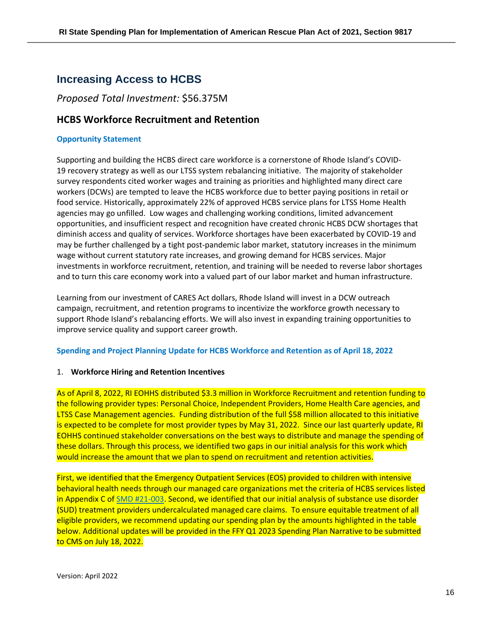# <span id="page-15-0"></span>**Increasing Access to HCBS**

## *Proposed Total Investment:* \$56.375M

# **HCBS Workforce Recruitment and Retention**

#### **Opportunity Statement**

Supporting and building the HCBS direct care workforce is a cornerstone of Rhode Island's COVID-19 recovery strategy as well as our LTSS system rebalancing initiative. The majority of stakeholder survey respondents cited worker wages and training as priorities and highlighted many direct care workers (DCWs) are tempted to leave the HCBS workforce due to better paying positions in retail or food service. Historically, approximately 22% of approved HCBS service plans for LTSS Home Health agencies may go unfilled. Low wages and challenging working conditions, limited advancement opportunities, and insufficient respect and recognition have created chronic HCBS DCW shortages that diminish access and quality of services. Workforce shortages have been exacerbated by COVID-19 and may be further challenged by a tight post-pandemic labor market, statutory increases in the minimum wage without current statutory rate increases, and growing demand for HCBS services. Major investments in workforce recruitment, retention, and training will be needed to reverse labor shortages and to turn this care economy work into a valued part of our labor market and human infrastructure.

Learning from our investment of CARES Act dollars, Rhode Island will invest in a DCW outreach campaign, recruitment, and retention programs to incentivize the workforce growth necessary to support Rhode Island's rebalancing efforts. We will also invest in expanding training opportunities to improve service quality and support career growth.

#### **Spending and Project Planning Update for HCBS Workforce and Retention as of April 18, 2022**

#### 1. **Workforce Hiring and Retention Incentives**

As of April 8, 2022, RI EOHHS distributed \$3.3 million in Workforce Recruitment and retention funding to the following provider types: Personal Choice, Independent Providers, Home Health Care agencies, and LTSS Case Management agencies. Funding distribution of the full \$58 million allocated to this initiative is expected to be complete for most provider types by May 31, 2022. Since our last quarterly update, RI EOHHS continued stakeholder conversations on the best ways to distribute and manage the spending of these dollars. Through this process, we identified two gaps in our initial analysis for this work which would increase the amount that we plan to spend on recruitment and retention activities.

First, we identified that the Emergency Outpatient Services (EOS) provided to children with intensive behavioral health needs through our managed care organizations met the criteria of HCBS services listed in Appendix C of [SMD #21-003.](https://www.medicaid.gov/Federal-Policy-Guidance/Downloads/smd21003.pdf) Second, we identified that our initial analysis of substance use disorder (SUD) treatment providers undercalculated managed care claims. To ensure equitable treatment of all eligible providers, we recommend updating our spending plan by the amounts highlighted in the table below. Additional updates will be provided in the FFY Q1 2023 Spending Plan Narrative to be submitted to CMS on July 18, 2022.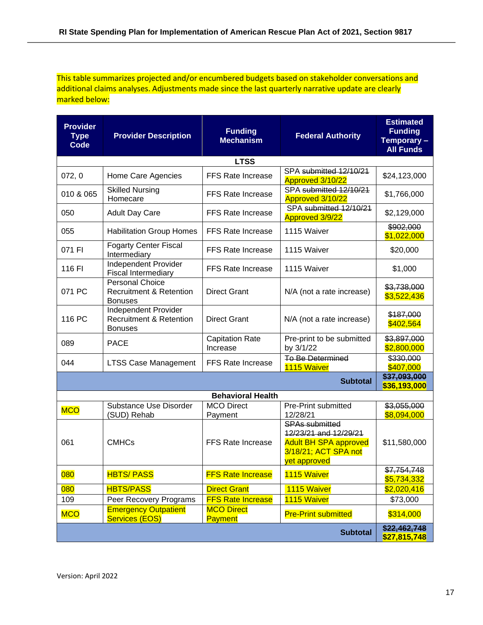This table summarizes projected and/or encumbered budgets based on stakeholder conversations and additional claims analyses. Adjustments made since the last quarterly narrative update are clearly marked below:

| <b>Provider</b><br><b>Type</b><br>Code | <b>Provider Description</b>                                                    | <b>Funding</b><br><b>Mechanism</b>  | <b>Federal Authority</b>                                                                                               | <b>Estimated</b><br><b>Funding</b><br>Temporary -<br><b>All Funds</b> |  |  |  |
|----------------------------------------|--------------------------------------------------------------------------------|-------------------------------------|------------------------------------------------------------------------------------------------------------------------|-----------------------------------------------------------------------|--|--|--|
| <b>LTSS</b>                            |                                                                                |                                     |                                                                                                                        |                                                                       |  |  |  |
| 072, 0                                 | Home Care Agencies                                                             | <b>FFS Rate Increase</b>            | SPA submitted 12/10/21<br>Approved 3/10/22                                                                             | \$24,123,000                                                          |  |  |  |
| 010 & 065                              | <b>Skilled Nursing</b><br>Homecare                                             | <b>FFS Rate Increase</b>            | SPA submitted 12/10/21<br>Approved 3/10/22                                                                             | \$1,766,000                                                           |  |  |  |
| 050                                    | <b>Adult Day Care</b>                                                          | <b>FFS Rate Increase</b>            | SPA submitted 12/10/21<br>Approved 3/9/22                                                                              | \$2,129,000                                                           |  |  |  |
| 055                                    | <b>Habilitation Group Homes</b>                                                | <b>FFS Rate Increase</b>            | 1115 Waiver                                                                                                            | \$902,000<br>\$1,022,000                                              |  |  |  |
| 071 FI                                 | <b>Fogarty Center Fiscal</b><br>Intermediary                                   | <b>FFS Rate Increase</b>            | 1115 Waiver                                                                                                            | \$20,000                                                              |  |  |  |
| 116 FI                                 | Independent Provider<br><b>Fiscal Intermediary</b>                             | <b>FFS Rate Increase</b>            | 1115 Waiver                                                                                                            | \$1,000                                                               |  |  |  |
| 071 PC                                 | <b>Personal Choice</b><br><b>Recruitment &amp; Retention</b><br><b>Bonuses</b> | <b>Direct Grant</b>                 | N/A (not a rate increase)                                                                                              | \$3,738,000<br>\$3,522,436                                            |  |  |  |
| 116 PC                                 | Independent Provider<br><b>Recruitment &amp; Retention</b><br><b>Bonuses</b>   | <b>Direct Grant</b>                 | N/A (not a rate increase)                                                                                              | \$187,000<br>\$402,564                                                |  |  |  |
| 089                                    | <b>PACE</b>                                                                    | <b>Capitation Rate</b><br>Increase  | Pre-print to be submitted<br>by 3/1/22                                                                                 | \$3,897,000<br>\$2,800,000                                            |  |  |  |
| 044                                    | <b>LTSS Case Management</b>                                                    | <b>FFS Rate Increase</b>            | <b>To Be Determined</b><br>1115 Waiver                                                                                 | \$330,000<br>\$407,000                                                |  |  |  |
|                                        |                                                                                |                                     | <b>Subtotal</b>                                                                                                        | \$37,093,000<br>\$36,193,000                                          |  |  |  |
|                                        |                                                                                | <b>Behavioral Health</b>            |                                                                                                                        |                                                                       |  |  |  |
| <b>MCO</b>                             | Substance Use Disorder<br>(SUD) Rehab                                          | <b>MCO Direct</b><br>Payment        | Pre-Print submitted<br>12/28/21                                                                                        | \$3,055,000<br>\$8,094,000                                            |  |  |  |
| 061                                    | <b>CMHCs</b>                                                                   | <b>FFS Rate Increase</b>            | <b>SPAs submitted</b><br>12/23/21 and 12/29/21<br><b>Adult BH SPA approved</b><br>3/18/21; ACT SPA not<br>yet approved | \$11,580,000                                                          |  |  |  |
| 080                                    | <b>HBTS/PASS</b>                                                               | <b>FFS Rate Increase</b>            | 1115 Waiver                                                                                                            | \$7,754,748<br>\$5,734,332                                            |  |  |  |
| 080                                    | <b>HBTS/PASS</b>                                                               | <b>Direct Grant</b>                 | 1115 Waiver                                                                                                            | \$2,020,416                                                           |  |  |  |
| 109                                    | Peer Recovery Programs                                                         | <b>FFS Rate Increase</b>            | 1115 Waiver                                                                                                            | \$73,000                                                              |  |  |  |
| <b>MCO</b>                             | <b>Emergency Outpatient</b><br>Services (EOS)                                  | <b>MCO Direct</b><br><b>Payment</b> | <b>Pre-Print submitted</b>                                                                                             | \$314,000                                                             |  |  |  |
|                                        |                                                                                |                                     | <b>Subtotal</b>                                                                                                        | \$22,462,748<br>\$27,815,748                                          |  |  |  |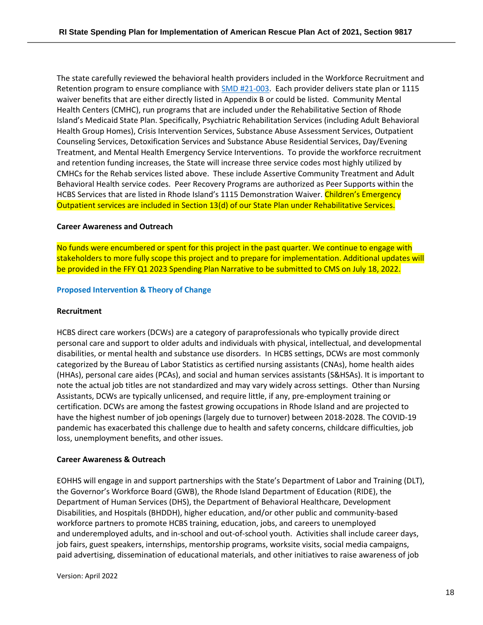The state carefully reviewed the behavioral health providers included in the Workforce Recruitment and Retention program to ensure compliance with [SMD #21-003.](https://www.medicaid.gov/Federal-Policy-Guidance/Downloads/smd21003.pdf) Each provider delivers state plan or 1115 waiver benefits that are either directly listed in Appendix B or could be listed. Community Mental Health Centers (CMHC), run programs that are included under the Rehabilitative Section of Rhode Island's Medicaid State Plan. Specifically, Psychiatric Rehabilitation Services (including Adult Behavioral Health Group Homes), Crisis Intervention Services, Substance Abuse Assessment Services, Outpatient Counseling Services, Detoxification Services and Substance Abuse Residential Services, Day/Evening Treatment, and Mental Health Emergency Service Interventions. To provide the workforce recruitment and retention funding increases, the State will increase three service codes most highly utilized by CMHCs for the Rehab services listed above. These include Assertive Community Treatment and Adult Behavioral Health service codes. Peer Recovery Programs are authorized as Peer Supports within the HCBS Services that are listed in Rhode Island's 1115 Demonstration Waiver. Children's Emergency Outpatient services are included in Section 13(d) of our State Plan under Rehabilitative Services.

#### **Career Awareness and Outreach**

No funds were encumbered or spent for this project in the past quarter. We continue to engage with stakeholders to more fully scope this project and to prepare for implementation. Additional updates will be provided in the FFY Q1 2023 Spending Plan Narrative to be submitted to CMS on July 18, 2022.

#### **Proposed Intervention & Theory of Change**

#### **Recruitment**

HCBS direct care workers (DCWs) are a category of paraprofessionals who typically provide direct personal care and support to older adults and individuals with physical, intellectual, and developmental disabilities, or mental health and substance use disorders. In HCBS settings, DCWs are most commonly categorized by the Bureau of Labor Statistics as certified nursing assistants (CNAs), home health aides (HHAs), personal care aides (PCAs), and social and human services assistants (S&HSAs). It is important to note the actual job titles are not standardized and may vary widely across settings. Other than Nursing Assistants, DCWs are typically unlicensed, and require little, if any, pre-employment training or certification. DCWs are among the fastest growing occupations in Rhode Island and are projected to have the highest number of job openings (largely due to turnover) between 2018-2028. The COVID-19 pandemic has exacerbated this challenge due to health and safety concerns, childcare difficulties, job loss, unemployment benefits, and other issues.

#### **Career Awareness & Outreach**

EOHHS will engage in and support partnerships with the State's Department of Labor and Training (DLT), the Governor's Workforce Board (GWB), the Rhode Island Department of Education (RIDE), the Department of Human Services (DHS), the Department of Behavioral Healthcare, Development Disabilities, and Hospitals (BHDDH), higher education, and/or other public and community-based workforce partners to promote HCBS training, education, jobs, and careers to unemployed and underemployed adults, and in-school and out-of-school youth. Activities shall include career days, job fairs, guest speakers, internships, mentorship programs, worksite visits, social media campaigns, paid advertising, dissemination of educational materials, and other initiatives to raise awareness of job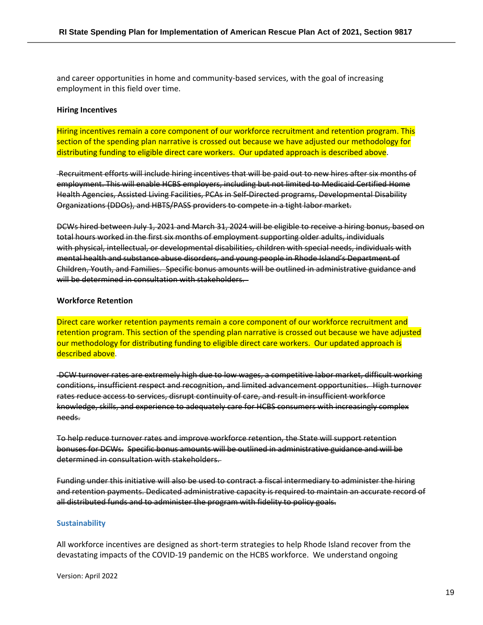and career opportunities in home and community-based services, with the goal of increasing employment in this field over time.

#### **Hiring Incentives**

Hiring incentives remain a core component of our workforce recruitment and retention program. This section of the spending plan narrative is crossed out because we have adjusted our methodology for distributing funding to eligible direct care workers. Our updated approach is described above.

Recruitment efforts will include hiring incentives that will be paid out to new hires after six months of employment. This will enable HCBS employers, including but not limited to Medicaid Certified Home Health Agencies, Assisted Living Facilities, PCAs in Self-Directed programs, Developmental Disability Organizations (DDOs), and HBTS/PASS providers to compete in a tight labor market.

DCWs hired between July 1, 2021 and March 31, 2024 will be eligible to receive a hiring bonus, based on total hours worked in the first six months of employment supporting older adults, individuals with physical, intellectual, or developmental disabilities, children with special needs, individuals with mental health and substance abuse disorders, and young people in Rhode Island's Department of Children, Youth, and Families. Specific bonus amounts will be outlined in administrative guidance and will be determined in consultation with stakeholders.

#### **Workforce Retention**

Direct care worker retention payments remain a core component of our workforce recruitment and retention program. This section of the spending plan narrative is crossed out because we have adjusted our methodology for distributing funding to eligible direct care workers. Our updated approach is described above.

DCW turnover rates are extremely high due to low wages, a competitive labor market, difficult working conditions, insufficient respect and recognition, and limited advancement opportunities. High turnover rates reduce access to services, disrupt continuity of care, and result in insufficient workforce knowledge, skills, and experience to adequately care for HCBS consumers with increasingly complex needs.

To help reduce turnover rates and improve workforce retention, the State will support retention bonuses for DCWs. Specific bonus amounts will be outlined in administrative guidance and will be determined in consultation with stakeholders.

Funding under this initiative will also be used to contract a fiscal intermediary to administer the hiring and retention payments. Dedicated administrative capacity is required to maintain an accurate record of all distributed funds and to administer the program with fidelity to policy goals.

#### **Sustainability**

All workforce incentives are designed as short-term strategies to help Rhode Island recover from the devastating impacts of the COVID-19 pandemic on the HCBS workforce. We understand ongoing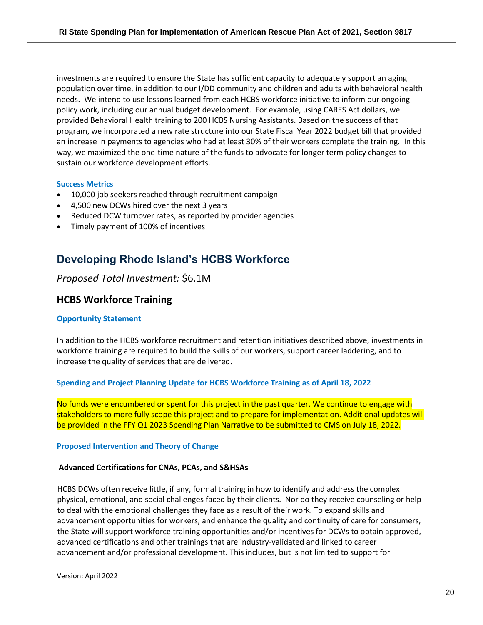investments are required to ensure the State has sufficient capacity to adequately support an aging population over time, in addition to our I/DD community and children and adults with behavioral health needs. We intend to use lessons learned from each HCBS workforce initiative to inform our ongoing policy work, including our annual budget development. For example, using CARES Act dollars, we provided Behavioral Health training to 200 HCBS Nursing Assistants. Based on the success of that program, we incorporated a new rate structure into our State Fiscal Year 2022 budget bill that provided an increase in payments to agencies who had at least 30% of their workers complete the training. In this way, we maximized the one-time nature of the funds to advocate for longer term policy changes to sustain our workforce development efforts.

#### **Success Metrics**

- 10,000 job seekers reached through recruitment campaign
- 4,500 new DCWs hired over the next 3 years
- Reduced DCW turnover rates, as reported by provider agencies
- Timely payment of 100% of incentives

# <span id="page-19-0"></span>**Developing Rhode Island's HCBS Workforce**

## *Proposed Total Investment:* \$6.1M

### **HCBS Workforce Training**

#### **Opportunity Statement**

In addition to the HCBS workforce recruitment and retention initiatives described above, investments in workforce training are required to build the skills of our workers, support career laddering, and to increase the quality of services that are delivered.

#### **Spending and Project Planning Update for HCBS Workforce Training as of April 18, 2022**

No funds were encumbered or spent for this project in the past quarter. We continue to engage with stakeholders to more fully scope this project and to prepare for implementation. Additional updates will be provided in the FFY Q1 2023 Spending Plan Narrative to be submitted to CMS on July 18, 2022.

#### **Proposed Intervention and Theory of Change**

#### **Advanced Certifications for CNAs, PCAs, and S&HSAs**

HCBS DCWs often receive little, if any, formal training in how to identify and address the complex physical, emotional, and social challenges faced by their clients. Nor do they receive counseling or help to deal with the emotional challenges they face as a result of their work. To expand skills and advancement opportunities for workers, and enhance the quality and continuity of care for consumers, the State will support workforce training opportunities and/or incentives for DCWs to obtain approved, advanced certifications and other trainings that are industry-validated and linked to career advancement and/or professional development. This includes, but is not limited to support for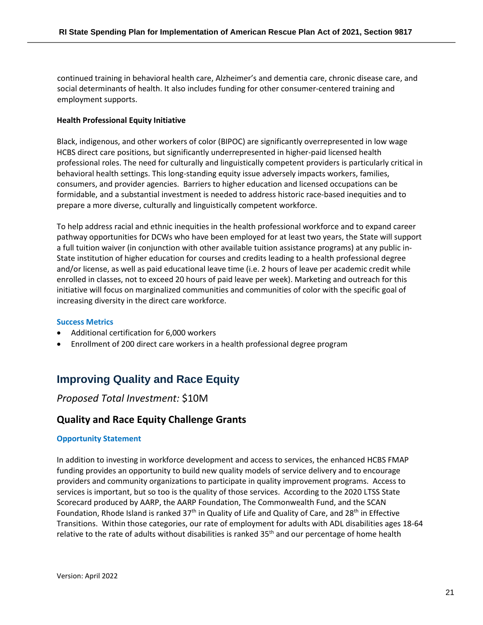continued training in behavioral health care, Alzheimer's and dementia care, chronic disease care, and social determinants of health. It also includes funding for other consumer-centered training and employment supports.

#### **Health Professional Equity Initiative**

Black, indigenous, and other workers of color (BIPOC) are significantly overrepresented in low wage HCBS direct care positions, but significantly underrepresented in higher-paid licensed health professional roles. The need for culturally and linguistically competent providers is particularly critical in behavioral health settings. This long-standing equity issue adversely impacts workers, families, consumers, and provider agencies. Barriers to higher education and licensed occupations can be formidable, and a substantial investment is needed to address historic race-based inequities and to prepare a more diverse, culturally and linguistically competent workforce.

To help address racial and ethnic inequities in the health professional workforce and to expand career pathway opportunities for DCWs who have been employed for at least two years, the State will support a full tuition waiver (in conjunction with other available tuition assistance programs) at any public in-State institution of higher education for courses and credits leading to a health professional degree and/or license, as well as paid educational leave time (i.e. 2 hours of leave per academic credit while enrolled in classes, not to exceed 20 hours of paid leave per week). Marketing and outreach for this initiative will focus on marginalized communities and communities of color with the specific goal of increasing diversity in the direct care workforce.

#### **Success Metrics**

- Additional certification for 6,000 workers
- Enrollment of 200 direct care workers in a health professional degree program

# <span id="page-20-0"></span>**Improving Quality and Race Equity**

# *Proposed Total Investment:* \$10M

# **Quality and Race Equity Challenge Grants**

#### **Opportunity Statement**

In addition to investing in workforce development and access to services, the enhanced HCBS FMAP funding provides an opportunity to build new quality models of service delivery and to encourage providers and community organizations to participate in quality improvement programs. Access to services is important, but so too is the quality of those services. According to the 2020 LTSS State Scorecard produced by AARP, the AARP Foundation, The Commonwealth Fund, and the SCAN Foundation, Rhode Island is ranked 37<sup>th</sup> in Quality of Life and Quality of Care, and 28<sup>th</sup> in Effective Transitions. Within those categories, our rate of employment for adults with ADL disabilities ages 18-64 relative to the rate of adults without disabilities is ranked 35<sup>th</sup> and our percentage of home health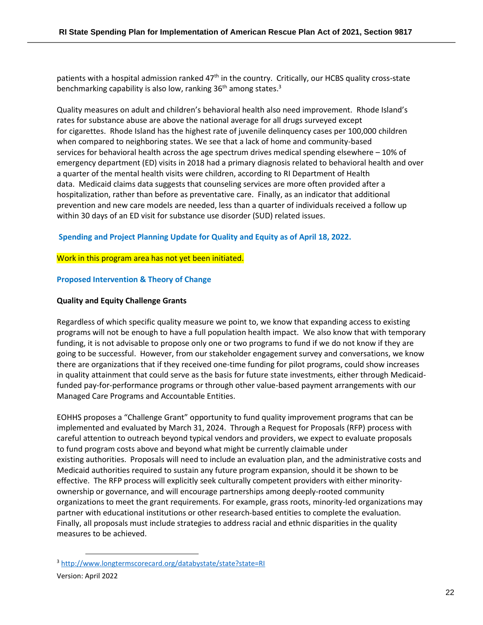patients with a hospital admission ranked 47<sup>th</sup> in the country. Critically, our HCBS quality cross-state benchmarking capability is also low, ranking 36<sup>th</sup> among states.<sup>3</sup>

Quality measures on adult and children's behavioral health also need improvement. Rhode Island's rates for substance abuse are above the national average for all drugs surveyed except for cigarettes. Rhode Island has the highest rate of juvenile delinquency cases per 100,000 children when compared to neighboring states. We see that a lack of home and community-based services for behavioral health across the age spectrum drives medical spending elsewhere – 10% of emergency department (ED) visits in 2018 had a primary diagnosis related to behavioral health and over a quarter of the mental health visits were children, according to RI Department of Health data. Medicaid claims data suggests that counseling services are more often provided after a hospitalization, rather than before as preventative care. Finally, as an indicator that additional prevention and new care models are needed, less than a quarter of individuals received a follow up within 30 days of an ED visit for substance use disorder (SUD) related issues.

#### **Spending and Project Planning Update for Quality and Equity as of April 18, 2022.**

#### Work in this program area has not yet been initiated.

#### **Proposed Intervention & Theory of Change**

#### **Quality and Equity Challenge Grants**

Regardless of which specific quality measure we point to, we know that expanding access to existing programs will not be enough to have a full population health impact. We also know that with temporary funding, it is not advisable to propose only one or two programs to fund if we do not know if they are going to be successful. However, from our stakeholder engagement survey and conversations, we know there are organizations that if they received one-time funding for pilot programs, could show increases in quality attainment that could serve as the basis for future state investments, either through Medicaidfunded pay-for-performance programs or through other value-based payment arrangements with our Managed Care Programs and Accountable Entities.

EOHHS proposes a "Challenge Grant" opportunity to fund quality improvement programs that can be implemented and evaluated by March 31, 2024. Through a Request for Proposals (RFP) process with careful attention to outreach beyond typical vendors and providers, we expect to evaluate proposals to fund program costs above and beyond what might be currently claimable under existing authorities. Proposals will need to include an evaluation plan, and the administrative costs and Medicaid authorities required to sustain any future program expansion, should it be shown to be effective. The RFP process will explicitly seek culturally competent providers with either minorityownership or governance, and will encourage partnerships among deeply-rooted community organizations to meet the grant requirements. For example, grass roots, minority-led organizations may partner with educational institutions or other research-based entities to complete the evaluation. Finally, all proposals must include strategies to address racial and ethnic disparities in the quality measures to be achieved.

<sup>3</sup> <http://www.longtermscorecard.org/databystate/state?state=RI>

Version: April 2022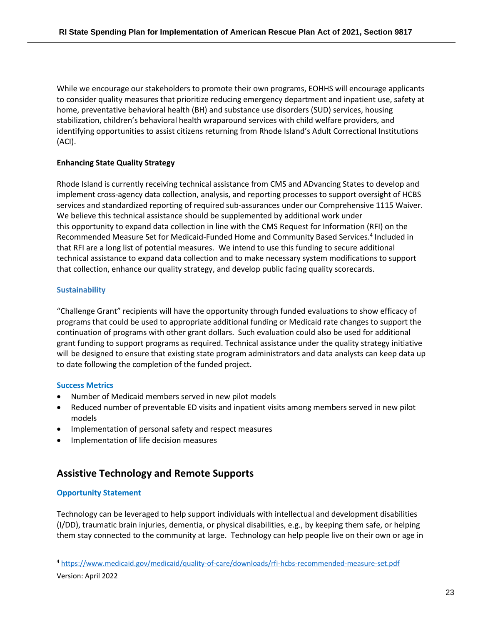While we encourage our stakeholders to promote their own programs, EOHHS will encourage applicants to consider quality measures that prioritize reducing emergency department and inpatient use, safety at home, preventative behavioral health (BH) and substance use disorders (SUD) services, housing stabilization, children's behavioral health wraparound services with child welfare providers, and identifying opportunities to assist citizens returning from Rhode Island's Adult Correctional Institutions (ACI).

### **Enhancing State Quality Strategy**

Rhode Island is currently receiving technical assistance from CMS and ADvancing States to develop and implement cross-agency data collection, analysis, and reporting processes to support oversight of HCBS services and standardized reporting of required sub-assurances under our Comprehensive 1115 Waiver. We believe this technical assistance should be supplemented by additional work under this opportunity to expand data collection in line with the CMS Request for Information (RFI) on the Recommended Measure Set for Medicaid-Funded Home and Community Based Services.<sup>4</sup> Included in that RFI are a long list of potential measures. We intend to use this funding to secure additional technical assistance to expand data collection and to make necessary system modifications to support that collection, enhance our quality strategy, and develop public facing quality scorecards.

#### **Sustainability**

"Challenge Grant" recipients will have the opportunity through funded evaluations to show efficacy of programs that could be used to appropriate additional funding or Medicaid rate changes to support the continuation of programs with other grant dollars. Such evaluation could also be used for additional grant funding to support programs as required. Technical assistance under the quality strategy initiative will be designed to ensure that existing state program administrators and data analysts can keep data up to date following the completion of the funded project.

#### **Success Metrics**

- Number of Medicaid members served in new pilot models
- Reduced number of preventable ED visits and inpatient visits among members served in new pilot models
- Implementation of personal safety and respect measures
- Implementation of life decision measures

# **Assistive Technology and Remote Supports**

### **Opportunity Statement**

Technology can be leveraged to help support individuals with intellectual and development disabilities (I/DD), traumatic brain injuries, dementia, or physical disabilities, e.g., by keeping them safe, or helping them stay connected to the community at large. Technology can help people live on their own or age in

<sup>4</sup> <https://www.medicaid.gov/medicaid/quality-of-care/downloads/rfi-hcbs-recommended-measure-set.pdf>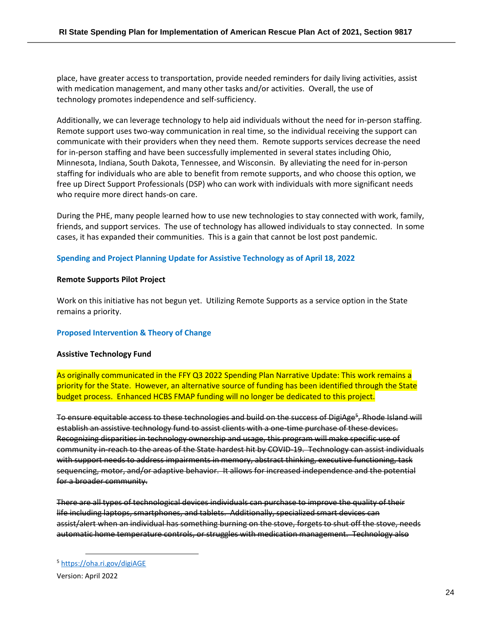place, have greater access to transportation, provide needed reminders for daily living activities, assist with medication management, and many other tasks and/or activities. Overall, the use of technology promotes independence and self-sufficiency.

Additionally, we can leverage technology to help aid individuals without the need for in-person staffing. Remote support uses two-way communication in real time, so the individual receiving the support can communicate with their providers when they need them. Remote supports services decrease the need for in-person staffing and have been successfully implemented in several states including Ohio, Minnesota, Indiana, South Dakota, Tennessee, and Wisconsin. By alleviating the need for in-person staffing for individuals who are able to benefit from remote supports, and who choose this option, we free up Direct Support Professionals (DSP) who can work with individuals with more significant needs who require more direct hands-on care.

During the PHE, many people learned how to use new technologies to stay connected with work, family, friends, and support services. The use of technology has allowed individuals to stay connected. In some cases, it has expanded their communities. This is a gain that cannot be lost post pandemic.

#### **Spending and Project Planning Update for Assistive Technology as of April 18, 2022**

#### **Remote Supports Pilot Project**

Work on this initiative has not begun yet. Utilizing Remote Supports as a service option in the State remains a priority.

#### **Proposed Intervention & Theory of Change**

#### **Assistive Technology Fund**

As originally communicated in the FFY Q3 2022 Spending Plan Narrative Update: This work remains a priority for the State. However, an alternative source of funding has been identified through the State budget process. Enhanced HCBS FMAP funding will no longer be dedicated to this project.

To ensure equitable access to these technologies and build on the success of DigiAge<sup>s</sup>, Rhode Island will establish an assistive technology fund to assist clients with a one-time purchase of these devices. Recognizing disparities in technology ownership and usage, this program will make specific use of community in-reach to the areas of the State hardest hit by COVID-19. Technology can assist individuals with support needs to address impairments in memory, abstract thinking, executive functioning, task sequencing, motor, and/or adaptive behavior. It allows for increased independence and the potential for a broader community.

There are all types of technological devices individuals can purchase to improve the quality of their life including laptops, smartphones, and tablets. Additionally, specialized smart devices can assist/alert when an individual has something burning on the stove, forgets to shut off the stove, needs automatic home temperature controls, or struggles with medication management. Technology also

<sup>5</sup> <https://oha.ri.gov/digiAGE>

Version: April 2022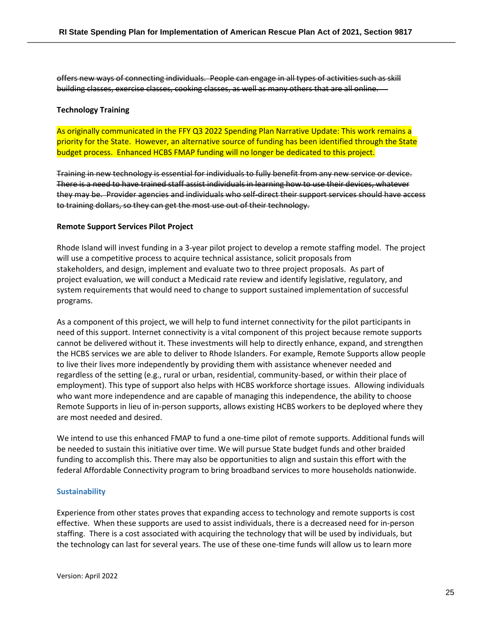offers new ways of connecting individuals. People can engage in all types of activities such as skill building classes, exercise classes, cooking classes, as well as many others that are all online.

#### **Technology Training**

As originally communicated in the FFY Q3 2022 Spending Plan Narrative Update: This work remains a priority for the State. However, an alternative source of funding has been identified through the State budget process. Enhanced HCBS FMAP funding will no longer be dedicated to this project.

Training in new technology is essential for individuals to fully benefit from any new service or device. There is a need to have trained staff assist individuals in learning how to use their devices, whatever they may be. Provider agencies and individuals who self-direct their support services should have access to training dollars, so they can get the most use out of their technology.

#### **Remote Support Services Pilot Project**

Rhode Island will invest funding in a 3-year pilot project to develop a remote staffing model. The project will use a competitive process to acquire technical assistance, solicit proposals from stakeholders, and design, implement and evaluate two to three project proposals. As part of project evaluation, we will conduct a Medicaid rate review and identify legislative, regulatory, and system requirements that would need to change to support sustained implementation of successful programs.

As a component of this project, we will help to fund internet connectivity for the pilot participants in need of this support. Internet connectivity is a vital component of this project because remote supports cannot be delivered without it. These investments will help to directly enhance, expand, and strengthen the HCBS services we are able to deliver to Rhode Islanders. For example, Remote Supports allow people to live their lives more independently by providing them with assistance whenever needed and regardless of the setting (e.g., rural or urban, residential, community-based, or within their place of employment). This type of support also helps with HCBS workforce shortage issues. Allowing individuals who want more independence and are capable of managing this independence, the ability to choose Remote Supports in lieu of in-person supports, allows existing HCBS workers to be deployed where they are most needed and desired.

We intend to use this enhanced FMAP to fund a one-time pilot of remote supports. Additional funds will be needed to sustain this initiative over time. We will pursue State budget funds and other braided funding to accomplish this. There may also be opportunities to align and sustain this effort with the federal Affordable Connectivity program to bring broadband services to more households nationwide.

#### **Sustainability**

Experience from other states proves that expanding access to technology and remote supports is cost effective. When these supports are used to assist individuals, there is a decreased need for in-person staffing. There is a cost associated with acquiring the technology that will be used by individuals, but the technology can last for several years. The use of these one-time funds will allow us to learn more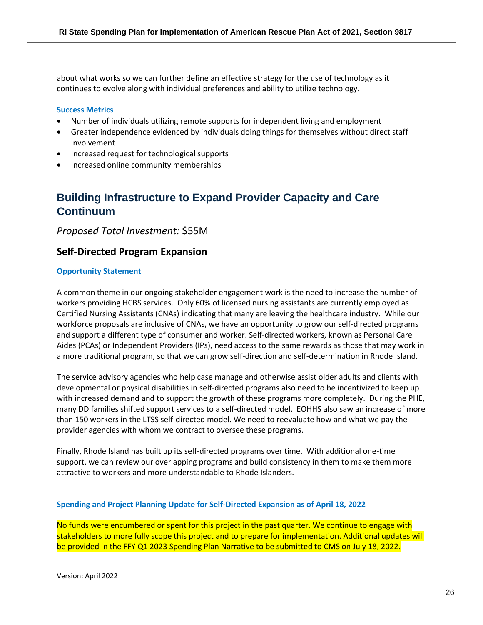about what works so we can further define an effective strategy for the use of technology as it continues to evolve along with individual preferences and ability to utilize technology.

#### **Success Metrics**

- Number of individuals utilizing remote supports for independent living and employment
- Greater independence evidenced by individuals doing things for themselves without direct staff involvement
- Increased request for technological supports
- Increased online community memberships

# <span id="page-25-0"></span>**Building Infrastructure to Expand Provider Capacity and Care Continuum**

*Proposed Total Investment:* \$55M

# **Self-Directed Program Expansion**

#### **Opportunity Statement**

A common theme in our ongoing stakeholder engagement work is the need to increase the number of workers providing HCBS services. Only 60% of licensed nursing assistants are currently employed as Certified Nursing Assistants (CNAs) indicating that many are leaving the healthcare industry. While our workforce proposals are inclusive of CNAs, we have an opportunity to grow our self-directed programs and support a different type of consumer and worker. Self-directed workers, known as Personal Care Aides (PCAs) or Independent Providers (IPs), need access to the same rewards as those that may work in a more traditional program, so that we can grow self-direction and self-determination in Rhode Island.

The service advisory agencies who help case manage and otherwise assist older adults and clients with developmental or physical disabilities in self-directed programs also need to be incentivized to keep up with increased demand and to support the growth of these programs more completely. During the PHE, many DD families shifted support services to a self-directed model. EOHHS also saw an increase of more than 150 workers in the LTSS self-directed model. We need to reevaluate how and what we pay the provider agencies with whom we contract to oversee these programs.

Finally, Rhode Island has built up its self-directed programs over time. With additional one-time support, we can review our overlapping programs and build consistency in them to make them more attractive to workers and more understandable to Rhode Islanders.

#### **Spending and Project Planning Update for Self-Directed Expansion as of April 18, 2022**

No funds were encumbered or spent for this project in the past quarter. We continue to engage with stakeholders to more fully scope this project and to prepare for implementation. Additional updates will be provided in the FFY Q1 2023 Spending Plan Narrative to be submitted to CMS on July 18, 2022.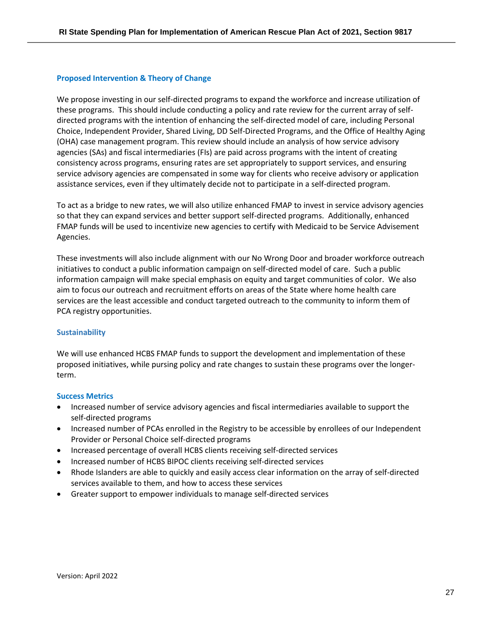#### **Proposed Intervention & Theory of Change**

We propose investing in our self-directed programs to expand the workforce and increase utilization of these programs.  This should include conducting a policy and rate review for the current array of selfdirected programs with the intention of enhancing the self-directed model of care, including Personal Choice, Independent Provider, Shared Living, DD Self-Directed Programs, and the Office of Healthy Aging (OHA) case management program. This review should include an analysis of how service advisory agencies (SAs) and fiscal intermediaries (FIs) are paid across programs with the intent of creating consistency across programs, ensuring rates are set appropriately to support services, and ensuring service advisory agencies are compensated in some way for clients who receive advisory or application assistance services, even if they ultimately decide not to participate in a self-directed program.  

To act as a bridge to new rates, we will also utilize enhanced FMAP to invest in service advisory agencies so that they can expand services and better support self-directed programs.  Additionally, enhanced FMAP funds will be used to incentivize new agencies to certify with Medicaid to be Service Advisement Agencies.  

These investments will also include alignment with our No Wrong Door and broader workforce outreach initiatives to conduct a public information campaign on self-directed model of care.  Such a public information campaign will make special emphasis on equity and target communities of color.  We also aim to focus our outreach and recruitment efforts on areas of the State where home health care services are the least accessible and conduct targeted outreach to the community to inform them of PCA registry opportunities. 

#### **Sustainability**

We will use enhanced HCBS FMAP funds to support the development and implementation of these proposed initiatives, while pursing policy and rate changes to sustain these programs over the longerterm.

#### **Success Metrics**

- Increased number of service advisory agencies and fiscal intermediaries available to support the self-directed programs
- Increased number of PCAs enrolled in the Registry to be accessible by enrollees of our Independent Provider or Personal Choice self-directed programs
- Increased percentage of overall HCBS clients receiving self-directed services
- Increased number of HCBS BIPOC clients receiving self-directed services
- Rhode Islanders are able to quickly and easily access clear information on the array of self-directed services available to them, and how to access these services
- Greater support to empower individuals to manage self-directed services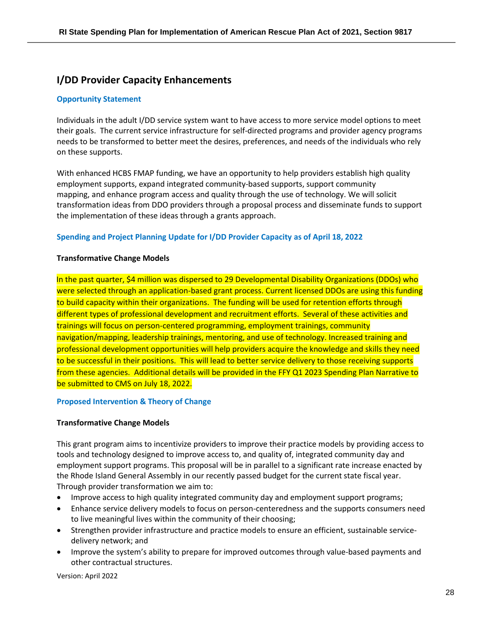# **I/DD Provider Capacity Enhancements**

#### **Opportunity Statement**

Individuals in the adult I/DD service system want to have access to more service model options to meet their goals. The current service infrastructure for self-directed programs and provider agency programs needs to be transformed to better meet the desires, preferences, and needs of the individuals who rely on these supports.

With enhanced HCBS FMAP funding, we have an opportunity to help providers establish high quality employment supports, expand integrated community-based supports, support community mapping, and enhance program access and quality through the use of technology. We will solicit transformation ideas from DDO providers through a proposal process and disseminate funds to support the implementation of these ideas through a grants approach.

#### **Spending and Project Planning Update for I/DD Provider Capacity as of April 18, 2022**

#### **Transformative Change Models**

In the past quarter, \$4 million was dispersed to 29 Developmental Disability Organizations (DDOs) who were selected through an application-based grant process. Current licensed DDOs are using this funding to build capacity within their organizations. The funding will be used for retention efforts through different types of professional development and recruitment efforts. Several of these activities and trainings will focus on person-centered programming, employment trainings, community navigation/mapping, leadership trainings, mentoring, and use of technology. Increased training and professional development opportunities will help providers acquire the knowledge and skills they need to be successful in their positions. This will lead to better service delivery to those receiving supports from these agencies. Additional details will be provided in the FFY Q1 2023 Spending Plan Narrative to be submitted to CMS on July 18, 2022.

#### **Proposed Intervention & Theory of Change**

#### **Transformative Change Models**

This grant program aims to incentivize providers to improve their practice models by providing access to tools and technology designed to improve access to, and quality of, integrated community day and employment support programs. This proposal will be in parallel to a significant rate increase enacted by the Rhode Island General Assembly in our recently passed budget for the current state fiscal year. Through provider transformation we aim to:

- Improve access to high quality integrated community day and employment support programs;
- Enhance service delivery models to focus on person-centeredness and the supports consumers need to live meaningful lives within the community of their choosing;
- Strengthen provider infrastructure and practice models to ensure an efficient, sustainable servicedelivery network; and
- Improve the system's ability to prepare for improved outcomes through value-based payments and other contractual structures.

Version: April 2022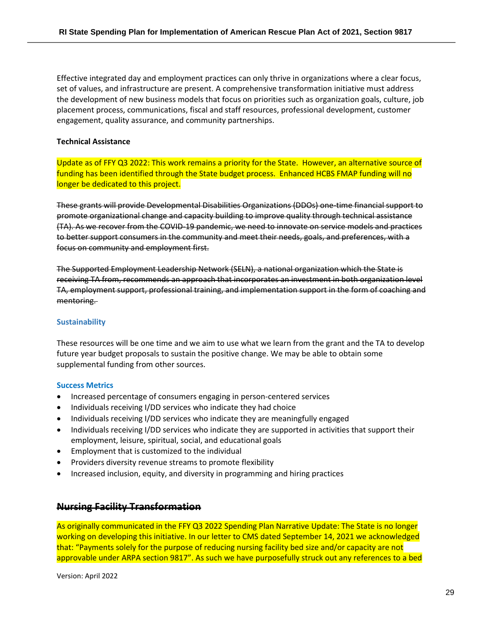Effective integrated day and employment practices can only thrive in organizations where a clear focus, set of values, and infrastructure are present. A comprehensive transformation initiative must address the development of new business models that focus on priorities such as organization goals, culture, job placement process, communications, fiscal and staff resources, professional development, customer engagement, quality assurance, and community partnerships.

#### **Technical Assistance**

Update as of FFY Q3 2022: This work remains a priority for the State. However, an alternative source of funding has been identified through the State budget process. Enhanced HCBS FMAP funding will no longer be dedicated to this project.

These grants will provide Developmental Disabilities Organizations (DDOs) one-time financial support to promote organizational change and capacity building to improve quality through technical assistance (TA). As we recover from the COVID-19 pandemic, we need to innovate on service models and practices to better support consumers in the community and meet their needs, goals, and preferences, with a focus on community and employment first.

The Supported Employment Leadership Network (SELN), a national organization which the State is receiving TA from, recommends an approach that incorporates an investment in both organization level TA, employment support, professional training, and implementation support in the form of coaching and mentoring.

#### **Sustainability**

These resources will be one time and we aim to use what we learn from the grant and the TA to develop future year budget proposals to sustain the positive change. We may be able to obtain some supplemental funding from other sources.

#### **Success Metrics**

- Increased percentage of consumers engaging in person-centered services
- Individuals receiving I/DD services who indicate they had choice
- Individuals receiving I/DD services who indicate they are meaningfully engaged
- Individuals receiving I/DD services who indicate they are supported in activities that support their employment, leisure, spiritual, social, and educational goals
- Employment that is customized to the individual
- Providers diversity revenue streams to promote flexibility
- Increased inclusion, equity, and diversity in programming and hiring practices

### **Nursing Facility Transformation**

As originally communicated in the FFY Q3 2022 Spending Plan Narrative Update: The State is no longer working on developing this initiative. In our letter to CMS dated September 14, 2021 we acknowledged that: "Payments solely for the purpose of reducing nursing facility bed size and/or capacity are not approvable under ARPA section 9817". As such we have purposefully struck out any references to a bed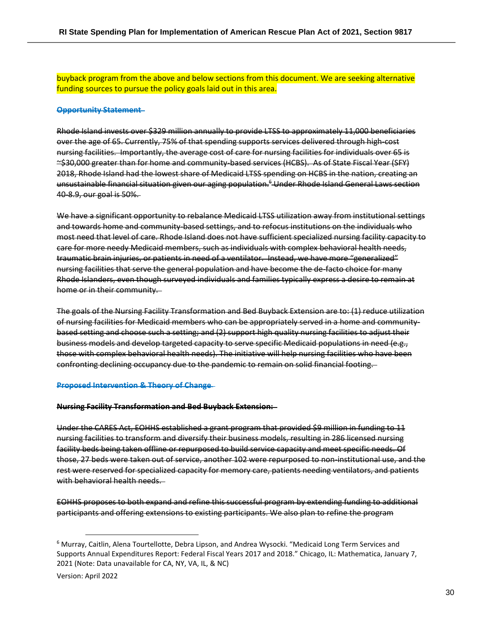buyback program from the above and below sections from this document. We are seeking alternative funding sources to pursue the policy goals laid out in this area.

#### **Opportunity Statement**

Rhode Island invests over \$329 million annually to provide LTSS to approximately 11,000 beneficiaries over the age of 65. Currently, 75% of that spending supports services delivered through high-cost nursing facilities. Importantly, the average cost of care for nursing facilities for individuals over 65 is ~\$30,000 greater than for home and community-based services (HCBS). As of State Fiscal Year (SFY) 2018, Rhode Island had the lowest share of Medicaid LTSS spending on HCBS in the nation, creating an unsustainable financial situation given our aging population. <sup>6</sup> Under Rhode Island General Laws section 40-8.9, our goal is 50%.

We have a significant opportunity to rebalance Medicaid LTSS utilization away from institutional settings and towards home and community-based settings, and to refocus institutions on the individuals who most need that level of care. Rhode Island does not have sufficient specialized nursing facility capacity to care for more needy Medicaid members, such as individuals with complex behavioral health needs, traumatic brain injuries, or patients in need of a ventilator. Instead, we have more "generalized" nursing facilities that serve the general population and have become the de-facto choice for many Rhode Islanders, even though surveyed individuals and families typically express a desire to remain at home or in their community.

The goals of the Nursing Facility Transformation and Bed Buyback Extension are to: (1) reduce utilization of nursing facilities for Medicaid members who can be appropriately served in a home and communitybased setting and choose such a setting; and (2) support high quality nursing facilities to adjust their business models and develop targeted capacity to serve specific Medicaid populations in need (e.g., those with complex behavioral health needs). The initiative will help nursing facilities who have been confronting declining occupancy due to the pandemic to remain on solid financial footing.

#### **Proposed Intervention & Theory of Change**

#### **Nursing Facility Transformation and Bed Buyback Extension:**

Under the CARES Act, EOHHS established a grant program that provided \$9 million in funding to 11 nursing facilities to transform and diversify their business models, resulting in 286 licensed nursing facility beds being taken offline or repurposed to build service capacity and meet specific needs. Of those, 27 beds were taken out of service, another 102 were repurposed to non-institutional use, and the rest were reserved for specialized capacity for memory care, patients needing ventilators, and patients with behavioral health needs.

EOHHS proposes to both expand and refine this successful program by extending funding to additional participants and offering extensions to existing participants. We also plan to refine the program

<sup>6</sup> Murray, Caitlin, Alena Tourtellotte, Debra Lipson, and Andrea Wysocki. "Medicaid Long Term Services and Supports Annual Expenditures Report: Federal Fiscal Years 2017 and 2018." Chicago, IL: Mathematica, January 7, 2021 (Note: Data unavailable for CA, NY, VA, IL, & NC)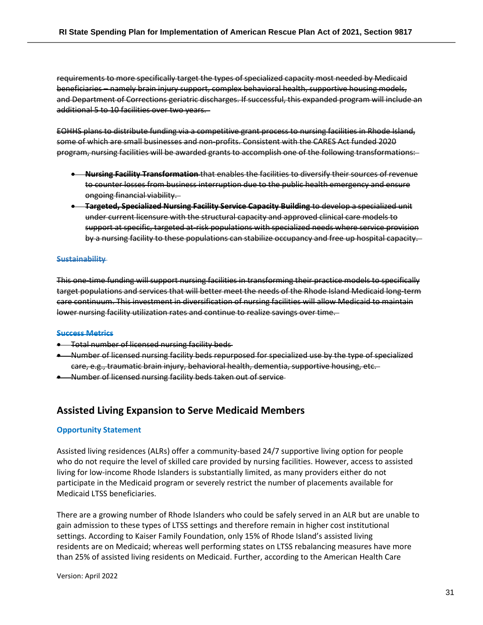requirements to more specifically target the types of specialized capacity most needed by Medicaid beneficiaries – namely brain injury support, complex behavioral health, supportive housing models, and Department of Corrections geriatric discharges. If successful, this expanded program will include an additional 5 to 10 facilities over two years.

EOHHS plans to distribute funding via a competitive grant process to nursing facilities in Rhode Island, some of which are small businesses and non-profits. Consistent with the CARES Act funded 2020 program, nursing facilities will be awarded grants to accomplish one of the following transformations:

- **Nursing Facility Transformation** that enables the facilities to diversify their sources of revenue to counter losses from business interruption due to the public health emergency and ensure ongoing financial viability.
- **Targeted, Specialized Nursing Facility Service Capacity Building** to develop a specialized unit under current licensure with the structural capacity and approved clinical care models to support at specific, targeted at-risk populations with specialized needs where service provision by a nursing facility to these populations can stabilize occupancy and free up hospital capacity.

#### **Sustainability**

This one-time funding will support nursing facilities in transforming their practice models to specifically target populations and services that will better meet the needs of the Rhode Island Medicaid long-term care continuum. This investment in diversification of nursing facilities will allow Medicaid to maintain lower nursing facility utilization rates and continue to realize savings over time.

#### **Success Metrics**

- **•** Total number of licensed nursing facility beds
- Number of licensed nursing facility beds repurposed for specialized use by the type of specialized care, e.g., traumatic brain injury, behavioral health, dementia, supportive housing, etc.
- Number of licensed nursing facility beds taken out of service

### **Assisted Living Expansion to Serve Medicaid Members**

#### **Opportunity Statement**

Assisted living residences (ALRs) offer a community-based 24/7 supportive living option for people who do not require the level of skilled care provided by nursing facilities. However, access to assisted living for low-income Rhode Islanders is substantially limited, as many providers either do not participate in the Medicaid program or severely restrict the number of placements available for Medicaid LTSS beneficiaries.

There are a growing number of Rhode Islanders who could be safely served in an ALR but are unable to gain admission to these types of LTSS settings and therefore remain in higher cost institutional settings. According to Kaiser Family Foundation, only 15% of Rhode Island's assisted living residents are on Medicaid; whereas well performing states on LTSS rebalancing measures have more than 25% of assisted living residents on Medicaid. Further, according to the American Health Care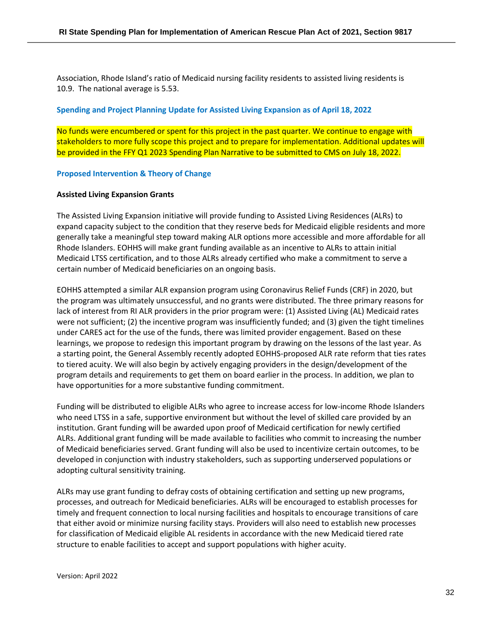Association, Rhode Island's ratio of Medicaid nursing facility residents to assisted living residents is 10.9. The national average is 5.53.

#### **Spending and Project Planning Update for Assisted Living Expansion as of April 18, 2022**

No funds were encumbered or spent for this project in the past quarter. We continue to engage with stakeholders to more fully scope this project and to prepare for implementation. Additional updates will be provided in the FFY Q1 2023 Spending Plan Narrative to be submitted to CMS on July 18, 2022.

#### **Proposed Intervention & Theory of Change**

#### **Assisted Living Expansion Grants**

The Assisted Living Expansion initiative will provide funding to Assisted Living Residences (ALRs) to expand capacity subject to the condition that they reserve beds for Medicaid eligible residents and more generally take a meaningful step toward making ALR options more accessible and more affordable for all Rhode Islanders. EOHHS will make grant funding available as an incentive to ALRs to attain initial Medicaid LTSS certification, and to those ALRs already certified who make a commitment to serve a certain number of Medicaid beneficiaries on an ongoing basis.

EOHHS attempted a similar ALR expansion program using Coronavirus Relief Funds (CRF) in 2020, but the program was ultimately unsuccessful, and no grants were distributed. The three primary reasons for lack of interest from RI ALR providers in the prior program were: (1) Assisted Living (AL) Medicaid rates were not sufficient; (2) the incentive program was insufficiently funded; and (3) given the tight timelines under CARES act for the use of the funds, there was limited provider engagement. Based on these learnings, we propose to redesign this important program by drawing on the lessons of the last year. As a starting point, the General Assembly recently adopted EOHHS-proposed ALR rate reform that ties rates to tiered acuity. We will also begin by actively engaging providers in the design/development of the program details and requirements to get them on board earlier in the process. In addition, we plan to have opportunities for a more substantive funding commitment.

Funding will be distributed to eligible ALRs who agree to increase access for low-income Rhode Islanders who need LTSS in a safe, supportive environment but without the level of skilled care provided by an institution. Grant funding will be awarded upon proof of Medicaid certification for newly certified ALRs. Additional grant funding will be made available to facilities who commit to increasing the number of Medicaid beneficiaries served. Grant funding will also be used to incentivize certain outcomes, to be developed in conjunction with industry stakeholders, such as supporting underserved populations or adopting cultural sensitivity training.

ALRs may use grant funding to defray costs of obtaining certification and setting up new programs, processes, and outreach for Medicaid beneficiaries. ALRs will be encouraged to establish processes for timely and frequent connection to local nursing facilities and hospitals to encourage transitions of care that either avoid or minimize nursing facility stays. Providers will also need to establish new processes for classification of Medicaid eligible AL residents in accordance with the new Medicaid tiered rate structure to enable facilities to accept and support populations with higher acuity.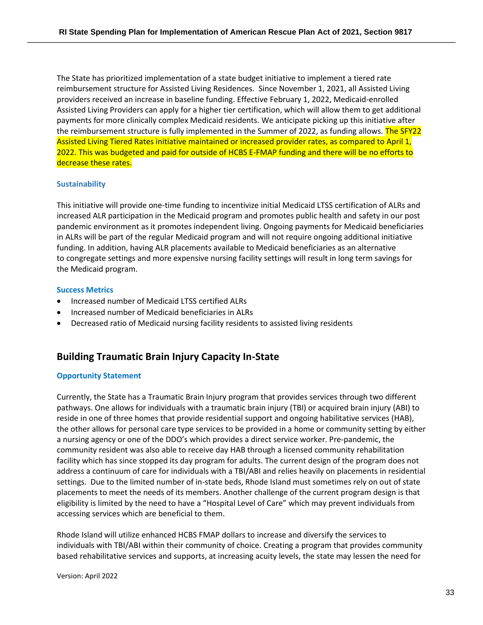The State has prioritized implementation of a state budget initiative to implement a tiered rate reimbursement structure for Assisted Living Residences. Since November 1, 2021, all Assisted Living providers received an increase in baseline funding. Effective February 1, 2022, Medicaid-enrolled Assisted Living Providers can apply for a higher tier certification, which will allow them to get additional payments for more clinically complex Medicaid residents. We anticipate picking up this initiative after the reimbursement structure is fully implemented in the Summer of 2022, as funding allows. The SFY22 Assisted Living Tiered Rates initiative maintained or increased provider rates, as compared to April 1, 2022. This was budgeted and paid for outside of HCBS E-FMAP funding and there will be no efforts to decrease these rates.

#### **Sustainability**

This initiative will provide one-time funding to incentivize initial Medicaid LTSS certification of ALRs and increased ALR participation in the Medicaid program and promotes public health and safety in our post pandemic environment as it promotes independent living. Ongoing payments for Medicaid beneficiaries in ALRs will be part of the regular Medicaid program and will not require ongoing additional initiative funding. In addition, having ALR placements available to Medicaid beneficiaries as an alternative to congregate settings and more expensive nursing facility settings will result in long term savings for the Medicaid program.

#### **Success Metrics**

- Increased number of Medicaid LTSS certified ALRs
- Increased number of Medicaid beneficiaries in ALRs
- Decreased ratio of Medicaid nursing facility residents to assisted living residents

# **Building Traumatic Brain Injury Capacity In-State**

#### **Opportunity Statement**

Currently, the State has a Traumatic Brain Injury program that provides services through two different pathways. One allows for individuals with a traumatic brain injury (TBI) or acquired brain injury (ABI) to reside in one of three homes that provide residential support and ongoing habilitative services (HAB), the other allows for personal care type services to be provided in a home or community setting by either a nursing agency or one of the DDO's which provides a direct service worker. Pre-pandemic, the community resident was also able to receive day HAB through a licensed community rehabilitation facility which has since stopped its day program for adults. The current design of the program does not address a continuum of care for individuals with a TBI/ABI and relies heavily on placements in residential settings. Due to the limited number of in-state beds, Rhode Island must sometimes rely on out of state placements to meet the needs of its members. Another challenge of the current program design is that eligibility is limited by the need to have a "Hospital Level of Care" which may prevent individuals from accessing services which are beneficial to them.

Rhode Island will utilize enhanced HCBS FMAP dollars to increase and diversify the services to individuals with TBI/ABI within their community of choice. Creating a program that provides community based rehabilitative services and supports, at increasing acuity levels, the state may lessen the need for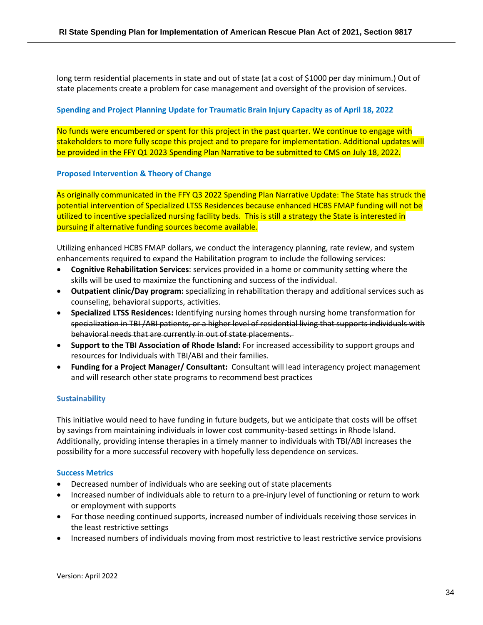long term residential placements in state and out of state (at a cost of \$1000 per day minimum.) Out of state placements create a problem for case management and oversight of the provision of services.

#### **Spending and Project Planning Update for Traumatic Brain Injury Capacity as of April 18, 2022**

No funds were encumbered or spent for this project in the past quarter. We continue to engage with stakeholders to more fully scope this project and to prepare for implementation. Additional updates will be provided in the FFY Q1 2023 Spending Plan Narrative to be submitted to CMS on July 18, 2022.

#### **Proposed Intervention & Theory of Change**

As originally communicated in the FFY Q3 2022 Spending Plan Narrative Update: The State has struck the potential intervention of Specialized LTSS Residences because enhanced HCBS FMAP funding will not be utilized to incentive specialized nursing facility beds. This is still a strategy the State is interested in pursuing if alternative funding sources become available.

Utilizing enhanced HCBS FMAP dollars, we conduct the interagency planning, rate review, and system enhancements required to expand the Habilitation program to include the following services:

- **Cognitive Rehabilitation Services**: services provided in a home or community setting where the skills will be used to maximize the functioning and success of the individual.
- **Outpatient clinic/Day program:** specializing in rehabilitation therapy and additional services such as counseling, behavioral supports, activities.
- **Specialized LTSS Residences:** Identifying nursing homes through nursing home transformation for specialization in TBI /ABI patients, or a higher level of residential living that supports individuals with behavioral needs that are currently in out of state placements.
- **Support to the TBI Association of Rhode Island:** For increased accessibility to support groups and resources for Individuals with TBI/ABI and their families.
- **Funding for a Project Manager/ Consultant:** Consultant will lead interagency project management and will research other state programs to recommend best practices

### **Sustainability**

This initiative would need to have funding in future budgets, but we anticipate that costs will be offset by savings from maintaining individuals in lower cost community-based settings in Rhode Island. Additionally, providing intense therapies in a timely manner to individuals with TBI/ABI increases the possibility for a more successful recovery with hopefully less dependence on services.

#### **Success Metrics**

- Decreased number of individuals who are seeking out of state placements
- Increased number of individuals able to return to a pre-injury level of functioning or return to work or employment with supports
- For those needing continued supports, increased number of individuals receiving those services in the least restrictive settings
- Increased numbers of individuals moving from most restrictive to least restrictive service provisions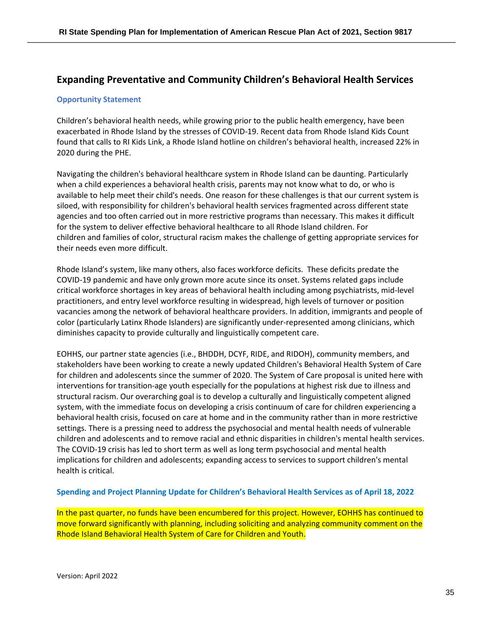# <span id="page-34-0"></span>**Expanding Preventative and Community Children's Behavioral Health Services**

#### **Opportunity Statement**

Children's behavioral health needs, while growing prior to the public health emergency, have been exacerbated in Rhode Island by the stresses of COVID-19. Recent data from Rhode Island Kids Count found that calls to RI Kids Link, a Rhode Island hotline on children's behavioral health, increased 22% in 2020 during the PHE.

Navigating the children's behavioral healthcare system in Rhode Island can be daunting. Particularly when a child experiences a behavioral health crisis, parents may not know what to do, or who is available to help meet their child's needs. One reason for these challenges is that our current system is siloed, with responsibility for children's behavioral health services fragmented across different state agencies and too often carried out in more restrictive programs than necessary. This makes it difficult for the system to deliver effective behavioral healthcare to all Rhode Island children. For children and families of color, structural racism makes the challenge of getting appropriate services for their needs even more difficult.

Rhode Island's system, like many others, also faces workforce deficits. These deficits predate the COVID-19 pandemic and have only grown more acute since its onset. Systems related gaps include critical workforce shortages in key areas of behavioral health including among psychiatrists, mid-level practitioners, and entry level workforce resulting in widespread, high levels of turnover or position vacancies among the network of behavioral healthcare providers. In addition, immigrants and people of color (particularly Latinx Rhode Islanders) are significantly under-represented among clinicians, which diminishes capacity to provide culturally and linguistically competent care.

EOHHS, our partner state agencies (i.e., BHDDH, DCYF, RIDE, and RIDOH), community members, and stakeholders have been working to create a newly updated Children's Behavioral Health System of Care for children and adolescents since the summer of 2020. The System of Care proposal is united here with interventions for transition-age youth especially for the populations at highest risk due to illness and structural racism. Our overarching goal is to develop a culturally and linguistically competent aligned system, with the immediate focus on developing a crisis continuum of care for children experiencing a behavioral health crisis, focused on care at home and in the community rather than in more restrictive settings. There is a pressing need to address the psychosocial and mental health needs of vulnerable children and adolescents and to remove racial and ethnic disparities in children's mental health services. The COVID-19 crisis has led to short term as well as long term psychosocial and mental health implications for children and adolescents; expanding access to services to support children's mental health is critical.

#### **Spending and Project Planning Update for Children's Behavioral Health Services as of April 18, 2022**

In the past quarter, no funds have been encumbered for this project. However, EOHHS has continued to move forward significantly with planning, including soliciting and analyzing community comment on the Rhode Island Behavioral Health System of Care for Children and Youth.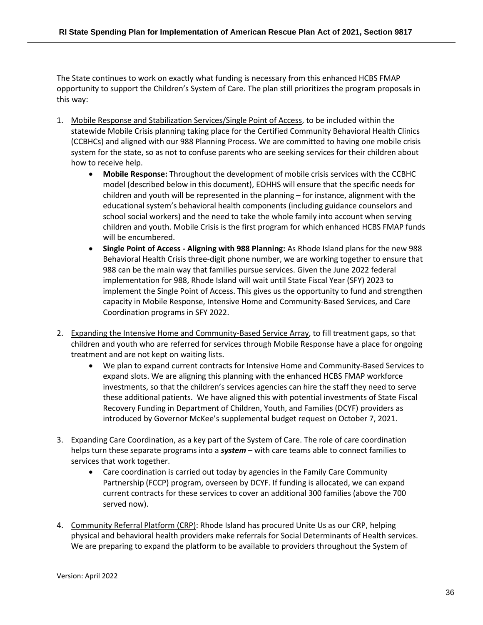The State continues to work on exactly what funding is necessary from this enhanced HCBS FMAP opportunity to support the Children's System of Care. The plan still prioritizes the program proposals in this way:

- 1. Mobile Response and Stabilization Services/Single Point of Access, to be included within the statewide Mobile Crisis planning taking place for the Certified Community Behavioral Health Clinics (CCBHCs) and aligned with our 988 Planning Process. We are committed to having one mobile crisis system for the state, so as not to confuse parents who are seeking services for their children about how to receive help.
	- **Mobile Response:** Throughout the development of mobile crisis services with the CCBHC model (described below in this document), EOHHS will ensure that the specific needs for children and youth will be represented in the planning – for instance, alignment with the educational system's behavioral health components (including guidance counselors and school social workers) and the need to take the whole family into account when serving children and youth. Mobile Crisis is the first program for which enhanced HCBS FMAP funds will be encumbered.
	- **Single Point of Access - Aligning with 988 Planning:** As Rhode Island plans for the new 988 Behavioral Health Crisis three-digit phone number, we are working together to ensure that 988 can be the main way that families pursue services. Given the June 2022 federal implementation for 988, Rhode Island will wait until State Fiscal Year (SFY) 2023 to implement the Single Point of Access. This gives us the opportunity to fund and strengthen capacity in Mobile Response, Intensive Home and Community-Based Services, and Care Coordination programs in SFY 2022.
- 2. Expanding the Intensive Home and Community-Based Service Array, to fill treatment gaps, so that children and youth who are referred for services through Mobile Response have a place for ongoing treatment and are not kept on waiting lists.
	- We plan to expand current contracts for Intensive Home and Community-Based Services to expand slots. We are aligning this planning with the enhanced HCBS FMAP workforce investments, so that the children's services agencies can hire the staff they need to serve these additional patients. We have aligned this with potential investments of State Fiscal Recovery Funding in Department of Children, Youth, and Families (DCYF) providers as introduced by Governor McKee's supplemental budget request on October 7, 2021.
- 3. Expanding Care Coordination, as a key part of the System of Care. The role of care coordination helps turn these separate programs into a *system* – with care teams able to connect families to services that work together.
	- Care coordination is carried out today by agencies in the Family Care Community Partnership (FCCP) program, overseen by DCYF. If funding is allocated, we can expand current contracts for these services to cover an additional 300 families (above the 700 served now).
- 4. Community Referral Platform (CRP): Rhode Island has procured Unite Us as our CRP, helping physical and behavioral health providers make referrals for Social Determinants of Health services. We are preparing to expand the platform to be available to providers throughout the System of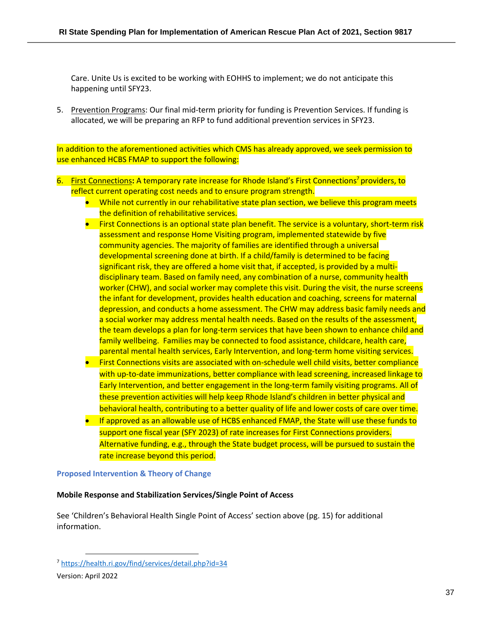Care. Unite Us is excited to be working with EOHHS to implement; we do not anticipate this happening until SFY23.

5. Prevention Programs: Our final mid-term priority for funding is Prevention Services. If funding is allocated, we will be preparing an RFP to fund additional prevention services in SFY23.

In addition to the aforementioned activities which CMS has already approved, we seek permission to use enhanced HCBS FMAP to support the following:

- 6. First Connections**:** A temporary rate increase for Rhode Island's First Connections<sup>7</sup> providers, to reflect current operating cost needs and to ensure program strength.
	- While not currently in our rehabilitative state plan section, we believe this program meets the definition of rehabilitative services.
	- First Connections is an optional state plan benefit. The service is a voluntary, short-term risk assessment and response Home Visiting program, implemented statewide by five community agencies. The majority of families are identified through a universal developmental screening done at birth. If a child/family is determined to be facing significant risk, they are offered a home visit that, if accepted, is provided by a multidisciplinary team. Based on family need, any combination of a nurse, community health worker (CHW), and social worker may complete this visit. During the visit, the nurse screens the infant for development, provides health education and coaching, screens for maternal depression, and conducts a home assessment. The CHW may address basic family needs and a social worker may address mental health needs. Based on the results of the assessment, the team develops a plan for long-term services that have been shown to enhance child and family wellbeing. Families may be connected to food assistance, childcare, health care, parental mental health services, Early Intervention, and long-term home visiting services.
	- First Connections visits are associated with on-schedule well child visits, better compliance with up-to-date immunizations, better compliance with lead screening, increased linkage to Early Intervention, and better engagement in the long-term family visiting programs. All of these prevention activities will help keep Rhode Island's children in better physical and behavioral health, contributing to a better quality of life and lower costs of care over time.
	- If approved as an allowable use of HCBS enhanced FMAP, the State will use these funds to support one fiscal year (SFY 2023) of rate increases for First Connections providers. Alternative funding, e.g., through the State budget process, will be pursued to sustain the rate increase beyond this period.

#### **Proposed Intervention & Theory of Change**

#### **Mobile Response and Stabilization Services/Single Point of Access**

See 'Children's Behavioral Health Single Point of Access' section above (pg. 15) for additional information.

<sup>7</sup> <https://health.ri.gov/find/services/detail.php?id=34>

Version: April 2022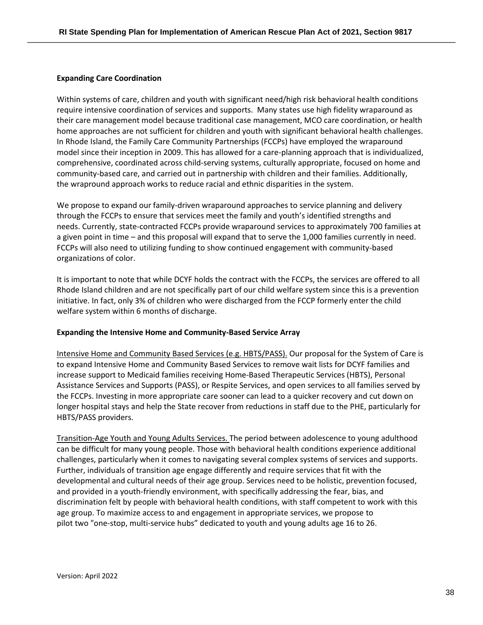#### **Expanding Care Coordination**

Within systems of care, children and youth with significant need/high risk behavioral health conditions require intensive coordination of services and supports. Many states use high fidelity wraparound as their care management model because traditional case management, MCO care coordination, or health home approaches are not sufficient for children and youth with significant behavioral health challenges. In Rhode Island, the Family Care Community Partnerships (FCCPs) have employed the wraparound model since their inception in 2009. This has allowed for a care-planning approach that is individualized, comprehensive, coordinated across child-serving systems, culturally appropriate, focused on home and community-based care, and carried out in partnership with children and their families. Additionally, the wrapround approach works to reduce racial and ethnic disparities in the system.

We propose to expand our family-driven wraparound approaches to service planning and delivery through the FCCPs to ensure that services meet the family and youth's identified strengths and needs. Currently, state-contracted FCCPs provide wraparound services to approximately 700 families at a given point in time – and this proposal will expand that to serve the 1,000 families currently in need. FCCPs will also need to utilizing funding to show continued engagement with community-based organizations of color.

It is important to note that while DCYF holds the contract with the FCCPs, the services are offered to all Rhode Island children and are not specifically part of our child welfare system since this is a prevention initiative. In fact, only 3% of children who were discharged from the FCCP formerly enter the child welfare system within 6 months of discharge.

#### **Expanding the Intensive Home and Community-Based Service Array**

Intensive Home and Community Based Services (e.g. HBTS/PASS). Our proposal for the System of Care is to expand Intensive Home and Community Based Services to remove wait lists for DCYF families and increase support to Medicaid families receiving Home-Based Therapeutic Services (HBTS), Personal Assistance Services and Supports (PASS), or Respite Services, and open services to all families served by the FCCPs. Investing in more appropriate care sooner can lead to a quicker recovery and cut down on longer hospital stays and help the State recover from reductions in staff due to the PHE, particularly for HBTS/PASS providers.

Transition-Age Youth and Young Adults Services. The period between adolescence to young adulthood can be difficult for many young people. Those with behavioral health conditions experience additional challenges, particularly when it comes to navigating several complex systems of services and supports. Further, individuals of transition age engage differently and require services that fit with the developmental and cultural needs of their age group. Services need to be holistic, prevention focused, and provided in a youth-friendly environment, with specifically addressing the fear, bias, and discrimination felt by people with behavioral health conditions, with staff competent to work with this age group. To maximize access to and engagement in appropriate services, we propose to pilot two "one-stop, multi-service hubs" dedicated to youth and young adults age 16 to 26.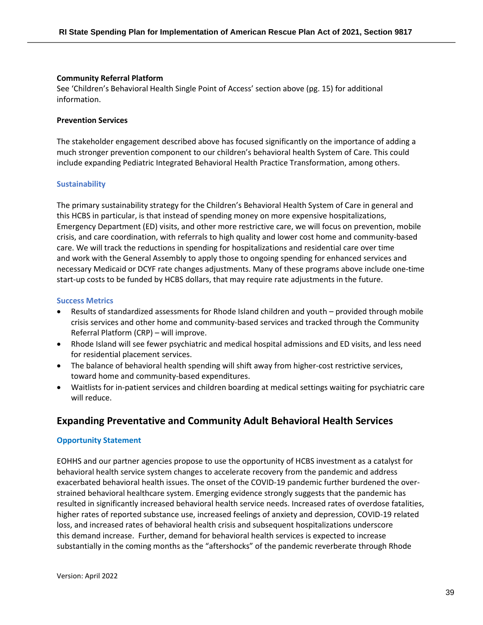#### **Community Referral Platform**

See 'Children's Behavioral Health Single Point of Access' section above (pg. 15) for additional information.

#### **Prevention Services**

The stakeholder engagement described above has focused significantly on the importance of adding a much stronger prevention component to our children's behavioral health System of Care. This could include expanding Pediatric Integrated Behavioral Health Practice Transformation, among others.

#### **Sustainability**

The primary sustainability strategy for the Children's Behavioral Health System of Care in general and this HCBS in particular, is that instead of spending money on more expensive hospitalizations, Emergency Department (ED) visits, and other more restrictive care, we will focus on prevention, mobile crisis, and care coordination, with referrals to high quality and lower cost home and community-based care. We will track the reductions in spending for hospitalizations and residential care over time and work with the General Assembly to apply those to ongoing spending for enhanced services and necessary Medicaid or DCYF rate changes adjustments. Many of these programs above include one-time start-up costs to be funded by HCBS dollars, that may require rate adjustments in the future.

#### **Success Metrics**

- Results of standardized assessments for Rhode Island children and youth provided through mobile crisis services and other home and community-based services and tracked through the Community Referral Platform (CRP) – will improve.
- Rhode Island will see fewer psychiatric and medical hospital admissions and ED visits, and less need for residential placement services.
- The balance of behavioral health spending will shift away from higher-cost restrictive services, toward home and community-based expenditures.
- Waitlists for in-patient services and children boarding at medical settings waiting for psychiatric care will reduce.

# **Expanding Preventative and Community Adult Behavioral Health Services**

#### **Opportunity Statement**

EOHHS and our partner agencies propose to use the opportunity of HCBS investment as a catalyst for behavioral health service system changes to accelerate recovery from the pandemic and address exacerbated behavioral health issues. The onset of the COVID-19 pandemic further burdened the overstrained behavioral healthcare system. Emerging evidence strongly suggests that the pandemic has resulted in significantly increased behavioral health service needs. Increased rates of overdose fatalities, higher rates of reported substance use, increased feelings of anxiety and depression, COVID-19 related loss, and increased rates of behavioral health crisis and subsequent hospitalizations underscore this demand increase. Further, demand for behavioral health services is expected to increase substantially in the coming months as the "aftershocks" of the pandemic reverberate through Rhode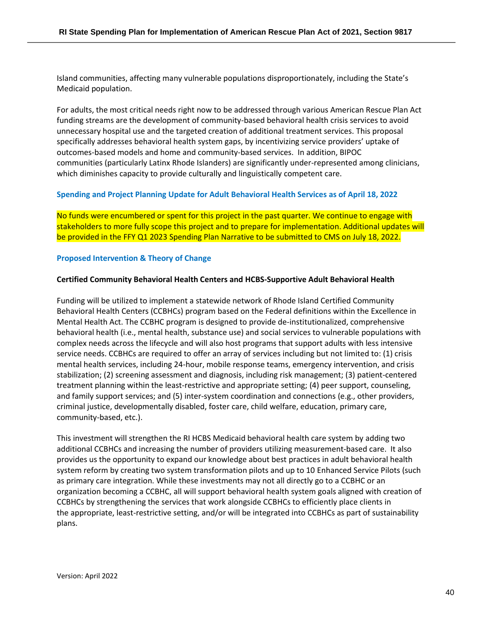Island communities, affecting many vulnerable populations disproportionately, including the State's Medicaid population.

For adults, the most critical needs right now to be addressed through various American Rescue Plan Act funding streams are the development of community-based behavioral health crisis services to avoid unnecessary hospital use and the targeted creation of additional treatment services. This proposal specifically addresses behavioral health system gaps, by incentivizing service providers' uptake of outcomes-based models and home and community-based services. In addition, BIPOC communities (particularly Latinx Rhode Islanders) are significantly under-represented among clinicians, which diminishes capacity to provide culturally and linguistically competent care.

#### **Spending and Project Planning Update for Adult Behavioral Health Services as of April 18, 2022**

No funds were encumbered or spent for this project in the past quarter. We continue to engage with stakeholders to more fully scope this project and to prepare for implementation. Additional updates will be provided in the FFY Q1 2023 Spending Plan Narrative to be submitted to CMS on July 18, 2022.

#### **Proposed Intervention & Theory of Change**

#### **Certified Community Behavioral Health Centers and HCBS-Supportive Adult Behavioral Health**

Funding will be utilized to implement a statewide network of Rhode Island Certified Community Behavioral Health Centers (CCBHCs) program based on the Federal definitions within the Excellence in Mental Health Act. The CCBHC program is designed to provide de-institutionalized, comprehensive behavioral health (i.e., mental health, substance use) and social services to vulnerable populations with complex needs across the lifecycle and will also host programs that support adults with less intensive service needs. CCBHCs are required to offer an array of services including but not limited to: (1) crisis mental health services, including 24-hour, mobile response teams, emergency intervention, and crisis stabilization; (2) screening assessment and diagnosis, including risk management; (3) patient-centered treatment planning within the least-restrictive and appropriate setting; (4) peer support, counseling, and family support services; and (5) inter-system coordination and connections (e.g., other providers, criminal justice, developmentally disabled, foster care, child welfare, education, primary care, community-based, etc.).

This investment will strengthen the RI HCBS Medicaid behavioral health care system by adding two additional CCBHCs and increasing the number of providers utilizing measurement-based care. It also provides us the opportunity to expand our knowledge about best practices in adult behavioral health system reform by creating two system transformation pilots and up to 10 Enhanced Service Pilots (such as primary care integration. While these investments may not all directly go to a CCBHC or an organization becoming a CCBHC, all will support behavioral health system goals aligned with creation of CCBHCs by strengthening the services that work alongside CCBHCs to efficiently place clients in the appropriate, least-restrictive setting, and/or will be integrated into CCBHCs as part of sustainability plans.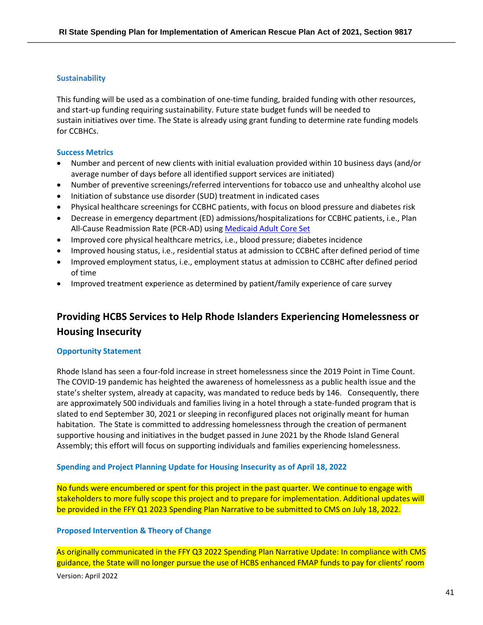#### **Sustainability**

This funding will be used as a combination of one-time funding, braided funding with other resources, and start-up funding requiring sustainability. Future state budget funds will be needed to sustain initiatives over time. The State is already using grant funding to determine rate funding models for CCBHCs.

#### **Success Metrics**

- Number and percent of new clients with initial evaluation provided within 10 business days (and/or average number of days before all identified support services are initiated)
- Number of preventive screenings/referred interventions for tobacco use and unhealthy alcohol use
- Initiation of substance use disorder (SUD) treatment in indicated cases
- Physical healthcare screenings for CCBHC patients, with focus on blood pressure and diabetes risk
- Decrease in emergency department (ED) admissions/hospitalizations for CCBHC patients, i.e., Plan All-Cause Readmission Rate (PCR-AD) using Medicaid Adult Core Set
- Improved core physical healthcare metrics, i.e., blood pressure; diabetes incidence
- Improved housing status, i.e., residential status at admission to CCBHC after defined period of time
- Improved employment status, i.e., employment status at admission to CCBHC after defined period of time
- Improved treatment experience as determined by patient/family experience of care survey

# **Providing HCBS Services to Help Rhode Islanders Experiencing Homelessness or Housing Insecurity**

#### **Opportunity Statement**

Rhode Island has seen a four-fold increase in street homelessness since the 2019 Point in Time Count. The COVID-19 pandemic has heighted the awareness of homelessness as a public health issue and the state's shelter system, already at capacity, was mandated to reduce beds by 146. Consequently, there are approximately 500 individuals and families living in a hotel through a state-funded program that is slated to end September 30, 2021 or sleeping in reconfigured places not originally meant for human habitation. The State is committed to addressing homelessness through the creation of permanent supportive housing and initiatives in the budget passed in June 2021 by the Rhode Island General Assembly; this effort will focus on supporting individuals and families experiencing homelessness.

#### **Spending and Project Planning Update for Housing Insecurity as of April 18, 2022**

No funds were encumbered or spent for this project in the past quarter. We continue to engage with stakeholders to more fully scope this project and to prepare for implementation. Additional updates will be provided in the FFY Q1 2023 Spending Plan Narrative to be submitted to CMS on July 18, 2022.

#### **Proposed Intervention & Theory of Change**

Version: April 2022 As originally communicated in the FFY Q3 2022 Spending Plan Narrative Update: In compliance with CMS guidance, the State will no longer pursue the use of HCBS enhanced FMAP funds to pay for clients' room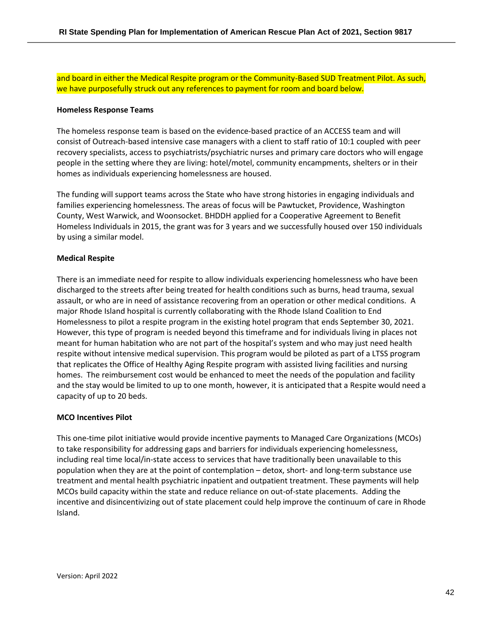and board in either the Medical Respite program or the Community-Based SUD Treatment Pilot. As such, we have purposefully struck out any references to payment for room and board below.

#### **Homeless Response Teams**

The homeless response team is based on the evidence-based practice of an ACCESS team and will consist of Outreach-based intensive case managers with a client to staff ratio of 10:1 coupled with peer recovery specialists, access to psychiatrists/psychiatric nurses and primary care doctors who will engage people in the setting where they are living: hotel/motel, community encampments, shelters or in their homes as individuals experiencing homelessness are housed.

The funding will support teams across the State who have strong histories in engaging individuals and families experiencing homelessness. The areas of focus will be Pawtucket, Providence, Washington County, West Warwick, and Woonsocket. BHDDH applied for a Cooperative Agreement to Benefit Homeless Individuals in 2015, the grant was for 3 years and we successfully housed over 150 individuals by using a similar model.

#### **Medical Respite**

There is an immediate need for respite to allow individuals experiencing homelessness who have been discharged to the streets after being treated for health conditions such as burns, head trauma, sexual assault, or who are in need of assistance recovering from an operation or other medical conditions. A major Rhode Island hospital is currently collaborating with the Rhode Island Coalition to End Homelessness to pilot a respite program in the existing hotel program that ends September 30, 2021. However, this type of program is needed beyond this timeframe and for individuals living in places not meant for human habitation who are not part of the hospital's system and who may just need health respite without intensive medical supervision. This program would be piloted as part of a LTSS program that replicates the Office of Healthy Aging Respite program with assisted living facilities and nursing homes. The reimbursement cost would be enhanced to meet the needs of the population and facility and the stay would be limited to up to one month, however, it is anticipated that a Respite would need a capacity of up to 20 beds.

#### **MCO Incentives Pilot**

This one-time pilot initiative would provide incentive payments to Managed Care Organizations (MCOs) to take responsibility for addressing gaps and barriers for individuals experiencing homelessness, including real time local/in-state access to services that have traditionally been unavailable to this population when they are at the point of contemplation – detox, short- and long-term substance use treatment and mental health psychiatric inpatient and outpatient treatment. These payments will help MCOs build capacity within the state and reduce reliance on out-of-state placements. Adding the incentive and disincentivizing out of state placement could help improve the continuum of care in Rhode Island.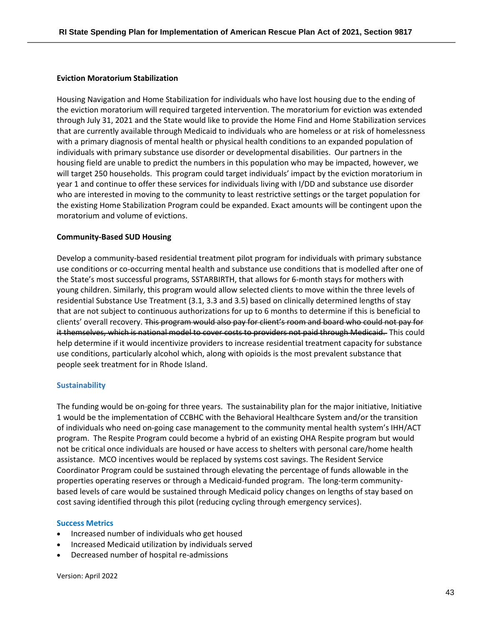#### **Eviction Moratorium Stabilization**

Housing Navigation and Home Stabilization for individuals who have lost housing due to the ending of the eviction moratorium will required targeted intervention. The moratorium for eviction was extended through July 31, 2021 and the State would like to provide the Home Find and Home Stabilization services that are currently available through Medicaid to individuals who are homeless or at risk of homelessness with a primary diagnosis of mental health or physical health conditions to an expanded population of individuals with primary substance use disorder or developmental disabilities. Our partners in the housing field are unable to predict the numbers in this population who may be impacted, however, we will target 250 households. This program could target individuals' impact by the eviction moratorium in year 1 and continue to offer these services for individuals living with I/DD and substance use disorder who are interested in moving to the community to least restrictive settings or the target population for the existing Home Stabilization Program could be expanded. Exact amounts will be contingent upon the moratorium and volume of evictions.

#### **Community-Based SUD Housing**

Develop a community-based residential treatment pilot program for individuals with primary substance use conditions or co-occurring mental health and substance use conditions that is modelled after one of the State's most successful programs, SSTARBIRTH, that allows for 6-month stays for mothers with young children. Similarly, this program would allow selected clients to move within the three levels of residential Substance Use Treatment (3.1, 3.3 and 3.5) based on clinically determined lengths of stay that are not subject to continuous authorizations for up to 6 months to determine if this is beneficial to clients' overall recovery. This program would also pay for client's room and board who could not pay for it themselves, which is national model to cover costs to providers not paid through Medicaid.  This could help determine if it would incentivize providers to increase residential treatment capacity for substance use conditions, particularly alcohol which, along with opioids is the most prevalent substance that people seek treatment for in Rhode Island.

#### **Sustainability**

The funding would be on-going for three years. The sustainability plan for the major initiative, Initiative 1 would be the implementation of CCBHC with the Behavioral Healthcare System and/or the transition of individuals who need on-going case management to the community mental health system's IHH/ACT program. The Respite Program could become a hybrid of an existing OHA Respite program but would not be critical once individuals are housed or have access to shelters with personal care/home health assistance. MCO incentives would be replaced by systems cost savings. The Resident Service Coordinator Program could be sustained through elevating the percentage of funds allowable in the properties operating reserves or through a Medicaid-funded program. The long-term communitybased levels of care would be sustained through Medicaid policy changes on lengths of stay based on cost saving identified through this pilot (reducing cycling through emergency services).

#### **Success Metrics**

- Increased number of individuals who get housed
- Increased Medicaid utilization by individuals served
- Decreased number of hospital re-admissions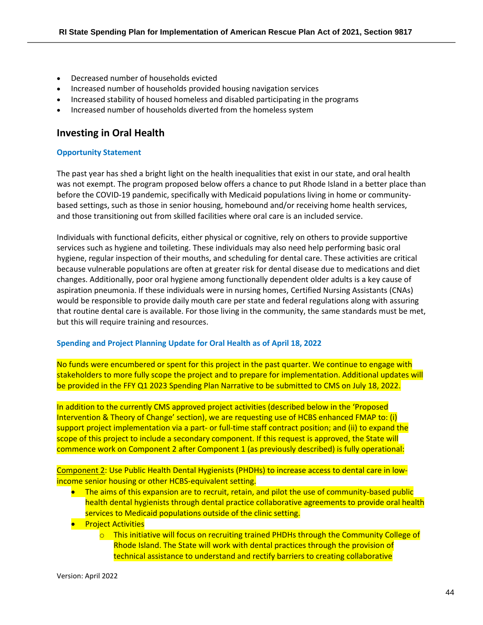- Decreased number of households evicted
- Increased number of households provided housing navigation services
- Increased stability of housed homeless and disabled participating in the programs
- Increased number of households diverted from the homeless system

# **Investing in Oral Health**

#### **Opportunity Statement**

The past year has shed a bright light on the health inequalities that exist in our state, and oral health was not exempt. The program proposed below offers a chance to put Rhode Island in a better place than before the COVID-19 pandemic, specifically with Medicaid populations living in home or communitybased settings, such as those in senior housing, homebound and/or receiving home health services, and those transitioning out from skilled facilities where oral care is an included service.

Individuals with functional deficits, either physical or cognitive, rely on others to provide supportive services such as hygiene and toileting. These individuals may also need help performing basic oral hygiene, regular inspection of their mouths, and scheduling for dental care. These activities are critical because vulnerable populations are often at greater risk for dental disease due to medications and diet changes. Additionally, poor oral hygiene among functionally dependent older adults is a key cause of aspiration pneumonia. If these individuals were in nursing homes, Certified Nursing Assistants (CNAs) would be responsible to provide daily mouth care per state and federal regulations along with assuring that routine dental care is available. For those living in the community, the same standards must be met, but this will require training and resources.

#### **Spending and Project Planning Update for Oral Health as of April 18, 2022**

No funds were encumbered or spent for this project in the past quarter. We continue to engage with stakeholders to more fully scope the project and to prepare for implementation. Additional updates will be provided in the FFY Q1 2023 Spending Plan Narrative to be submitted to CMS on July 18, 2022.

In addition to the currently CMS approved project activities (described below in the 'Proposed Intervention & Theory of Change' section), we are requesting use of HCBS enhanced FMAP to: (i) support project implementation via a part- or full-time staff contract position; and (ii) to expand the scope of this project to include a secondary component. If this request is approved, the State will commence work on Component 2 after Component 1 (as previously described) is fully operational:

Component 2: Use Public Health Dental Hygienists (PHDHs) to increase access to dental care in lowincome senior housing or other HCBS-equivalent setting.

- The aims of this expansion are to recruit, retain, and pilot the use of community-based public health dental hygienists through dental practice collaborative agreements to provide oral health services to Medicaid populations outside of the clinic setting.
- **•** Project Activities
	- $\circ$  This initiative will focus on recruiting trained PHDHs through the Community College of Rhode Island. The State will work with dental practices through the provision of technical assistance to understand and rectify barriers to creating collaborative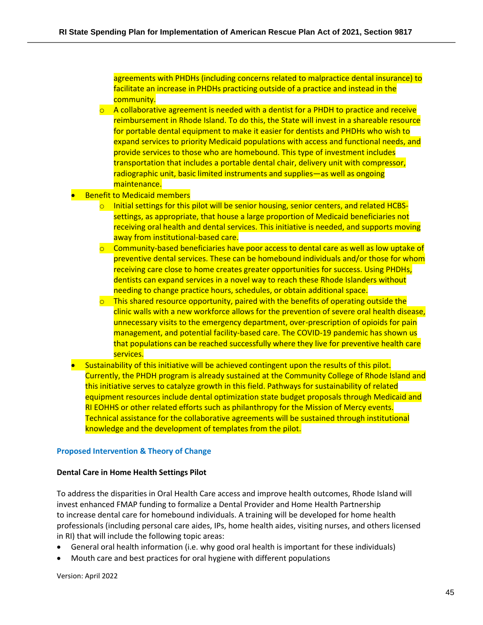agreements with PHDHs (including concerns related to malpractice dental insurance) to facilitate an increase in PHDHs practicing outside of a practice and instead in the community.

- $\circ$  A collaborative agreement is needed with a dentist for a PHDH to practice and receive reimbursement in Rhode Island. To do this, the State will invest in a shareable resource for portable dental equipment to make it easier for dentists and PHDHs who wish to expand services to priority Medicaid populations with access and functional needs, and provide services to those who are homebound. This type of investment includes transportation that includes a portable dental chair, delivery unit with compressor, radiographic unit, basic limited instruments and supplies—as well as ongoing maintenance.
- **Benefit to Medicaid members** 
	- $\circ$  Initial settings for this pilot will be senior housing, senior centers, and related HCBSsettings, as appropriate, that house a large proportion of Medicaid beneficiaries not receiving oral health and dental services. This initiative is needed, and supports moving away from institutional-based care.
	- $\circ$  Community-based beneficiaries have poor access to dental care as well as low uptake of preventive dental services. These can be homebound individuals and/or those for whom receiving care close to home creates greater opportunities for success. Using PHDHs, dentists can expand services in a novel way to reach these Rhode Islanders without needing to change practice hours, schedules, or obtain additional space.
	- $\circ$  This shared resource opportunity, paired with the benefits of operating outside the clinic walls with a new workforce allows for the prevention of severe oral health disease, unnecessary visits to the emergency department, over-prescription of opioids for pain management, and potential facility-based care. The COVID-19 pandemic has shown us that populations can be reached successfully where they live for preventive health care services.
- Sustainability of this initiative will be achieved contingent upon the results of this pilot. Currently, the PHDH program is already sustained at the Community College of Rhode Island and this initiative serves to catalyze growth in this field. Pathways for sustainability of related equipment resources include dental optimization state budget proposals through Medicaid and RI EOHHS or other related efforts such as philanthropy for the Mission of Mercy events. Technical assistance for the collaborative agreements will be sustained through institutional knowledge and the development of templates from the pilot.

#### **Proposed Intervention & Theory of Change**

#### **Dental Care in Home Health Settings Pilot**

To address the disparities in Oral Health Care access and improve health outcomes, Rhode Island will invest enhanced FMAP funding to formalize a Dental Provider and Home Health Partnership to increase dental care for homebound individuals. A training will be developed for home health professionals (including personal care aides, IPs, home health aides, visiting nurses, and others licensed in RI) that will include the following topic areas:

- General oral health information (i.e. why good oral health is important for these individuals)
- Mouth care and best practices for oral hygiene with different populations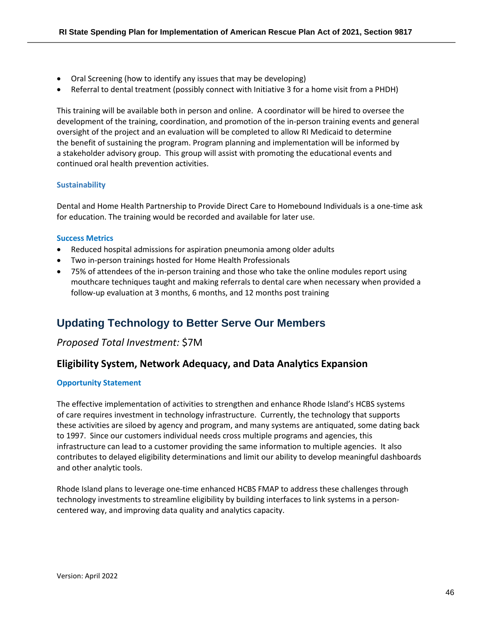- Oral Screening (how to identify any issues that may be developing)
- Referral to dental treatment (possibly connect with Initiative 3 for a home visit from a PHDH)

This training will be available both in person and online. A coordinator will be hired to oversee the development of the training, coordination, and promotion of the in-person training events and general oversight of the project and an evaluation will be completed to allow RI Medicaid to determine the benefit of sustaining the program. Program planning and implementation will be informed by a stakeholder advisory group. This group will assist with promoting the educational events and continued oral health prevention activities.

#### **Sustainability**

Dental and Home Health Partnership to Provide Direct Care to Homebound Individuals is a one-time ask for education. The training would be recorded and available for later use.

#### **Success Metrics**

- Reduced hospital admissions for aspiration pneumonia among older adults
- Two in-person trainings hosted for Home Health Professionals
- 75% of attendees of the in-person training and those who take the online modules report using mouthcare techniques taught and making referrals to dental care when necessary when provided a follow-up evaluation at 3 months, 6 months, and 12 months post training

# <span id="page-45-0"></span>**Updating Technology to Better Serve Our Members**

### *Proposed Total Investment:* \$7M

# **Eligibility System, Network Adequacy, and Data Analytics Expansion**

#### **Opportunity Statement**

The effective implementation of activities to strengthen and enhance Rhode Island's HCBS systems of care requires investment in technology infrastructure. Currently, the technology that supports these activities are siloed by agency and program, and many systems are antiquated, some dating back to 1997. Since our customers individual needs cross multiple programs and agencies, this infrastructure can lead to a customer providing the same information to multiple agencies. It also contributes to delayed eligibility determinations and limit our ability to develop meaningful dashboards and other analytic tools.

Rhode Island plans to leverage one-time enhanced HCBS FMAP to address these challenges through technology investments to streamline eligibility by building interfaces to link systems in a personcentered way, and improving data quality and analytics capacity.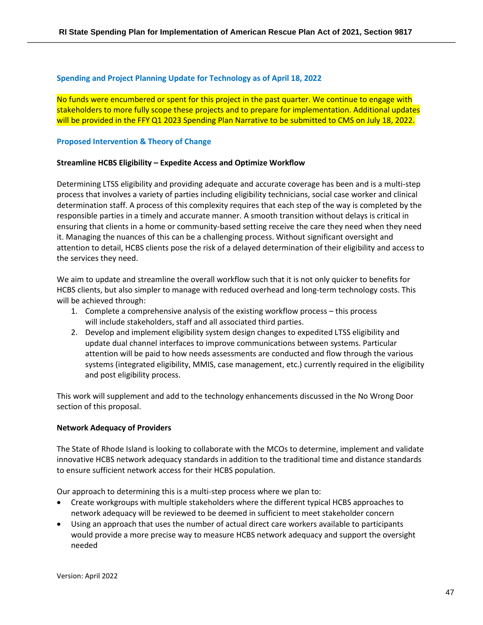#### **Spending and Project Planning Update for Technology as of April 18, 2022**

No funds were encumbered or spent for this project in the past quarter. We continue to engage with stakeholders to more fully scope these projects and to prepare for implementation. Additional updates will be provided in the FFY Q1 2023 Spending Plan Narrative to be submitted to CMS on July 18, 2022.

#### **Proposed Intervention & Theory of Change**

#### **Streamline HCBS Eligibility – Expedite Access and Optimize Workflow**

Determining LTSS eligibility and providing adequate and accurate coverage has been and is a multi-step process that involves a variety of parties including eligibility technicians, social case worker and clinical determination staff. A process of this complexity requires that each step of the way is completed by the responsible parties in a timely and accurate manner. A smooth transition without delays is critical in ensuring that clients in a home or community-based setting receive the care they need when they need it. Managing the nuances of this can be a challenging process. Without significant oversight and attention to detail, HCBS clients pose the risk of a delayed determination of their eligibility and access to the services they need.

We aim to update and streamline the overall workflow such that it is not only quicker to benefits for HCBS clients, but also simpler to manage with reduced overhead and long-term technology costs. This will be achieved through:

- 1. Complete a comprehensive analysis of the existing workflow process this process will include stakeholders, staff and all associated third parties.
- 2. Develop and implement eligibility system design changes to expedited LTSS eligibility and update dual channel interfaces to improve communications between systems. Particular attention will be paid to how needs assessments are conducted and flow through the various systems (integrated eligibility, MMIS, case management, etc.) currently required in the eligibility and post eligibility process.

This work will supplement and add to the technology enhancements discussed in the No Wrong Door section of this proposal.

#### **Network Adequacy of Providers**

The State of Rhode Island is looking to collaborate with the MCOs to determine, implement and validate innovative HCBS network adequacy standards in addition to the traditional time and distance standards to ensure sufficient network access for their HCBS population.

Our approach to determining this is a multi-step process where we plan to:

- Create workgroups with multiple stakeholders where the different typical HCBS approaches to network adequacy will be reviewed to be deemed in sufficient to meet stakeholder concern
- Using an approach that uses the number of actual direct care workers available to participants would provide a more precise way to measure HCBS network adequacy and support the oversight needed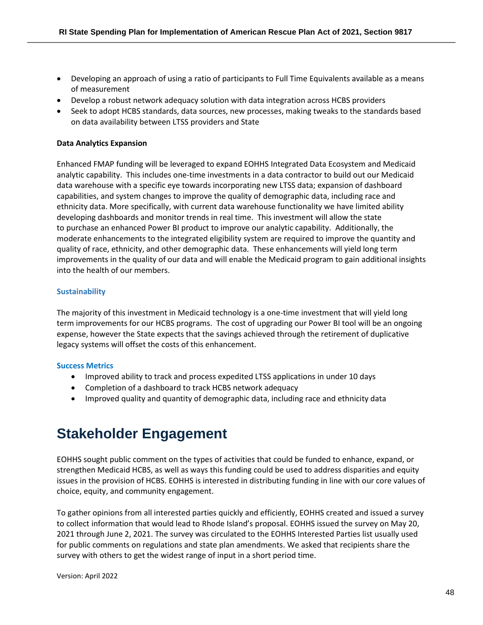- Developing an approach of using a ratio of participants to Full Time Equivalents available as a means of measurement
- Develop a robust network adequacy solution with data integration across HCBS providers
- Seek to adopt HCBS standards, data sources, new processes, making tweaks to the standards based on data availability between LTSS providers and State

#### **Data Analytics Expansion**

Enhanced FMAP funding will be leveraged to expand EOHHS Integrated Data Ecosystem and Medicaid analytic capability. This includes one-time investments in a data contractor to build out our Medicaid data warehouse with a specific eye towards incorporating new LTSS data; expansion of dashboard capabilities, and system changes to improve the quality of demographic data, including race and ethnicity data. More specifically, with current data warehouse functionality we have limited ability developing dashboards and monitor trends in real time. This investment will allow the state to purchase an enhanced Power BI product to improve our analytic capability. Additionally, the moderate enhancements to the integrated eligibility system are required to improve the quantity and quality of race, ethnicity, and other demographic data. These enhancements will yield long term improvements in the quality of our data and will enable the Medicaid program to gain additional insights into the health of our members.

#### **Sustainability**

The majority of this investment in Medicaid technology is a one-time investment that will yield long term improvements for our HCBS programs. The cost of upgrading our Power BI tool will be an ongoing expense, however the State expects that the savings achieved through the retirement of duplicative legacy systems will offset the costs of this enhancement.

#### **Success Metrics**

- Improved ability to track and process expedited LTSS applications in under 10 days
- Completion of a dashboard to track HCBS network adequacy
- Improved quality and quantity of demographic data, including race and ethnicity data

# <span id="page-47-0"></span>**Stakeholder Engagement**

EOHHS sought public comment on the types of activities that could be funded to enhance, expand, or strengthen Medicaid HCBS, as well as ways this funding could be used to address disparities and equity issues in the provision of HCBS. EOHHS is interested in distributing funding in line with our core values of choice, equity, and community engagement.

To gather opinions from all interested parties quickly and efficiently, EOHHS created and issued a survey to collect information that would lead to Rhode Island's proposal. EOHHS issued the survey on May 20, 2021 through June 2, 2021. The survey was circulated to the EOHHS Interested Parties list usually used for public comments on regulations and state plan amendments. We asked that recipients share the survey with others to get the widest range of input in a short period time.